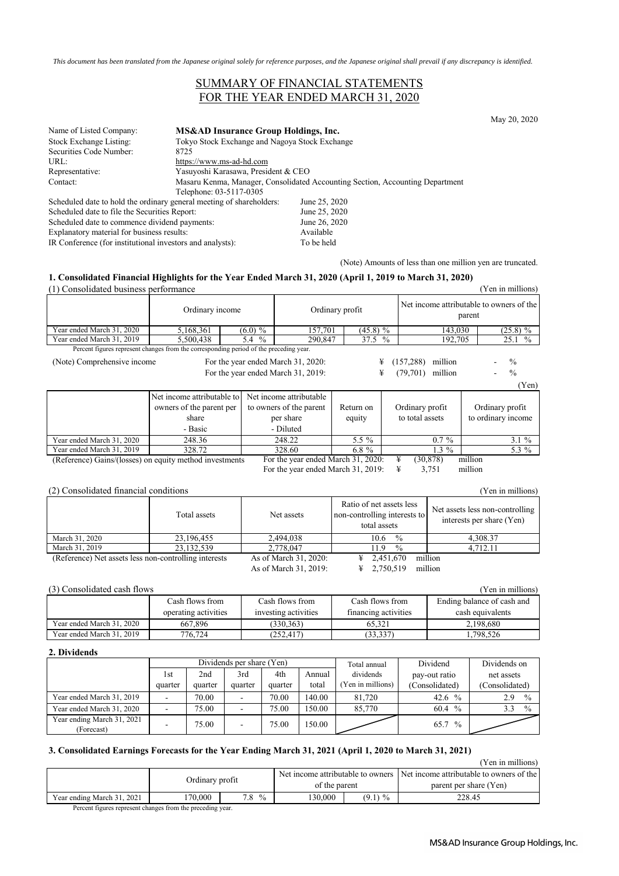*This document has been translated from the Japanese original solely for reference purposes, and the Japanese original shall prevail if any discrepancy is identified.*

## SUMMARY OF FINANCIAL STATEMENTS FOR THE YEAR ENDED MARCH 31, 2020

May 20, 2020

| Name of Listed Company:                                              | MS&AD Insurance Group Holdings, Inc.           |                                                                               |
|----------------------------------------------------------------------|------------------------------------------------|-------------------------------------------------------------------------------|
| Stock Exchange Listing:                                              | Tokyo Stock Exchange and Nagoya Stock Exchange |                                                                               |
| Securities Code Number:                                              | 8725                                           |                                                                               |
| URL:                                                                 | https://www.ms-ad-hd.com                       |                                                                               |
| Representative:                                                      | Yasuyoshi Karasawa, President & CEO            |                                                                               |
| Contact:                                                             |                                                | Masaru Kenma, Manager, Consolidated Accounting Section, Accounting Department |
|                                                                      | Telephone: 03-5117-0305                        |                                                                               |
| Scheduled date to hold the ordinary general meeting of shareholders: |                                                | June 25, 2020                                                                 |
| Scheduled date to file the Securities Report:                        |                                                | June 25, 2020                                                                 |
| Scheduled date to commence dividend payments:                        |                                                | June 26, 2020                                                                 |
| Explanatory material for business results:                           |                                                | Available                                                                     |

IR Conference (for institutional investors and analysts): To be held

(Note) Amounts of less than one million yen are truncated.

### **1. Consolidated Financial Highlights for the Year Ended March 31, 2020 (April 1, 2019 to March 31, 2020)**

| (1) Consolidated business performance                   |                                                                                        |            |                                    |                 |          |                       | (Yen in millions)                                  |
|---------------------------------------------------------|----------------------------------------------------------------------------------------|------------|------------------------------------|-----------------|----------|-----------------------|----------------------------------------------------|
|                                                         | Ordinary income                                                                        |            |                                    | Ordinary profit |          |                       | Net income attributable to owners of the<br>parent |
| Year ended March 31, 2020                               | 5,168,361                                                                              | $(6.0) \%$ | 157,701                            | $(45.8)$ %      |          | 143,030               | $(25.8)$ %                                         |
| Year ended March 31, 2019                               | 5,500,438                                                                              | 5.4 $%$    | 290,847                            |                 | 37.5 $%$ | 192,705               | 25.1%                                              |
|                                                         | Percent figures represent changes from the corresponding period of the preceding year. |            |                                    |                 |          |                       |                                                    |
| (Note) Comprehensive income                             |                                                                                        |            | For the year ended March 31, 2020: |                 | ¥        | (157, 288)<br>million | $\frac{0}{0}$                                      |
|                                                         |                                                                                        |            | For the year ended March 31, 2019: |                 | ¥        | million<br>(79,701)   | $\frac{0}{0}$                                      |
|                                                         |                                                                                        |            |                                    |                 |          |                       | (Yen)                                              |
|                                                         | Net income attributable to                                                             |            | Net income attributable            |                 |          |                       |                                                    |
|                                                         | owners of the parent per                                                               |            | to owners of the parent            | Return on       |          | Ordinary profit       | Ordinary profit                                    |
|                                                         | share                                                                                  |            | per share                          | equity          |          | to total assets       | to ordinary income                                 |
|                                                         | - Basic                                                                                |            | - Diluted                          |                 |          |                       |                                                    |
| Year ended March 31, 2020                               | 248.36                                                                                 |            | 248.22                             | $5.5\%$         |          | $0.7\%$               | $3.1 \%$                                           |
| Year ended March 31, 2019                               | 328.72                                                                                 |            | 328.60                             | 6.8 $%$         |          | $1.3\%$               | 5.3 %                                              |
| (Reference) Gains/(losses) on equity method investments |                                                                                        |            | For the year ended March 31, 2020: |                 |          | ¥<br>(30, 878)        | million                                            |
|                                                         |                                                                                        |            | For the year ended March 31, 2019: |                 |          | ¥<br>3,751            | million                                            |
|                                                         |                                                                                        |            |                                    |                 |          |                       |                                                    |

#### (2) Consolidated financial conditions (Yen in millions)

|                                                       | Total assets | Net assets            | Ratio of net assets less<br>non-controlling interests to<br>total assets | Net assets less non-controlling<br>interests per share (Yen) |
|-------------------------------------------------------|--------------|-----------------------|--------------------------------------------------------------------------|--------------------------------------------------------------|
| March 31, 2020                                        | 23,196,455   | 2,494,038             | $\frac{0}{0}$<br>10.6                                                    | 4,308.37                                                     |
| March 31, 2019                                        | 23, 132, 539 | 2,778,047             | $\frac{0}{0}$<br>1.9                                                     | 4.712.11                                                     |
| (Reference) Net assets less non-controlling interests |              | As of March 31, 2020: | 2,451,670<br>¥                                                           | million                                                      |
|                                                       |              | As of March 31, 2019: | 2,750,519<br>¥                                                           | million                                                      |

### (3) Consolidated cash flows (Yen in millions)

|                           | Cash flows from      | Cash flows from      | Cash flows from      | Ending balance of cash and |
|---------------------------|----------------------|----------------------|----------------------|----------------------------|
|                           | operating activities | investing activities | financing activities | cash equivalents           |
| Year ended March 31, 2020 | 667.896              | (330.363)            | 65.321               | 2.198.680                  |
| Year ended March 31, 2019 | 776,724              | (252, 417)           | (33,337)             | 1,798,526                  |

#### **2. Dividends**

|                                          |         |         | Dividends per share (Yen) |         |        | Total annual     | Dividend              | Dividends on         |
|------------------------------------------|---------|---------|---------------------------|---------|--------|------------------|-----------------------|----------------------|
|                                          | 1st     | 2nd     | 3rd                       | 4th     | Annual | dividends        | pay-out ratio         | net assets           |
|                                          | quarter | quarter | quarter                   | quarter | total  | Yen in millions) | (Consolidated)        | (Consolidated)       |
| Year ended March 31, 2019                | ۰       | 70.00   | $\overline{\phantom{a}}$  | 70.00   | 140.00 | 81,720           | 42.6 $%$              | $\frac{0}{0}$<br>2.9 |
| Year ended March 31, 2020                | ۰       | 75.00   |                           | 75.00   | 150.00 | 85,770           | $\frac{0}{0}$<br>60.4 | $\frac{0}{0}$<br>3.3 |
| Year ending March 31, 2021<br>(Forecast) | -       | 75.00   | $\overline{\phantom{a}}$  | 75.00   | 150.00 |                  | $\frac{0}{0}$<br>65.7 |                      |

## **3. Consolidated Earnings Forecasts for the Year Ending March 31, 2021 (April 1, 2020 to March 31, 2021)**

|                                                                                                                       |                 |                 |               |            | (Yen in millions)                                                          |
|-----------------------------------------------------------------------------------------------------------------------|-----------------|-----------------|---------------|------------|----------------------------------------------------------------------------|
|                                                                                                                       |                 |                 |               |            | Net income attributable to owners Net income attributable to owners of the |
|                                                                                                                       | Ordinary profit |                 | of the parent |            | parent per share (Yen)                                                     |
| Year ending March 31, 2021                                                                                            | 170.000         | $^{0/0}$<br>7.8 | 30,000        | $(9.1) \%$ | 228.45                                                                     |
| $\mathbf{n}$ , $\mathbf{r}$ , $\mathbf{r}$ , $\mathbf{r}$ , $\mathbf{r}$ , $\mathbf{r}$ , $\mathbf{r}$ , $\mathbf{r}$ |                 |                 |               |            |                                                                            |

Percent figures represent changes from the preceding year.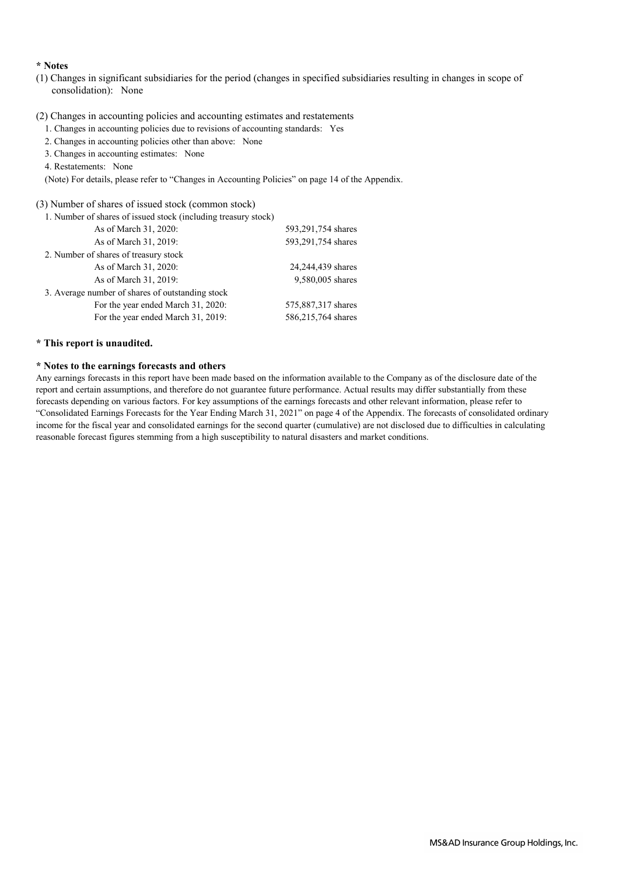### **\* Notes**

(1) Changes in significant subsidiaries for the period (changes in specified subsidiaries resulting in changes in scope of consolidation): None

## (2) Changes in accounting policies and accounting estimates and restatements

- 1. Changes in accounting policies due to revisions of accounting standards: Yes
- 2. Changes in accounting policies other than above: None
- 3. Changes in accounting estimates: None
- 4. Restatements: None
- (Note) For details, please refer to "Changes in Accounting Policies" on page 14 of the Appendix.

### (3) Number of shares of issued stock (common stock)

| 1. Number of shares of issued stock (including treasury stock) |                    |
|----------------------------------------------------------------|--------------------|
| As of March 31, 2020:                                          | 593,291,754 shares |
| As of March 31, 2019:                                          | 593,291,754 shares |
| 2. Number of shares of treasury stock                          |                    |
| As of March 31, 2020:                                          | 24,244,439 shares  |
| As of March 31, 2019:                                          | 9,580,005 shares   |
| 3. Average number of shares of outstanding stock               |                    |
| For the year ended March 31, 2020:                             | 575,887,317 shares |
| For the year ended March 31, 2019:                             | 586,215,764 shares |

### **\* This report is unaudited.**

### **\* Notes to the earnings forecasts and others**

Any earnings forecasts in this report have been made based on the information available to the Company as of the disclosure date of the report and certain assumptions, and therefore do not guarantee future performance. Actual results may differ substantially from these forecasts depending on various factors. For key assumptions of the earnings forecasts and other relevant information, please refer to "Consolidated Earnings Forecasts for the Year Ending March 31, 2021" on page 4 of the Appendix. The forecasts of consolidated ordinary income for the fiscal year and consolidated earnings for the second quarter (cumulative) are not disclosed due to difficulties in calculating reasonable forecast figures stemming from a high susceptibility to natural disasters and market conditions.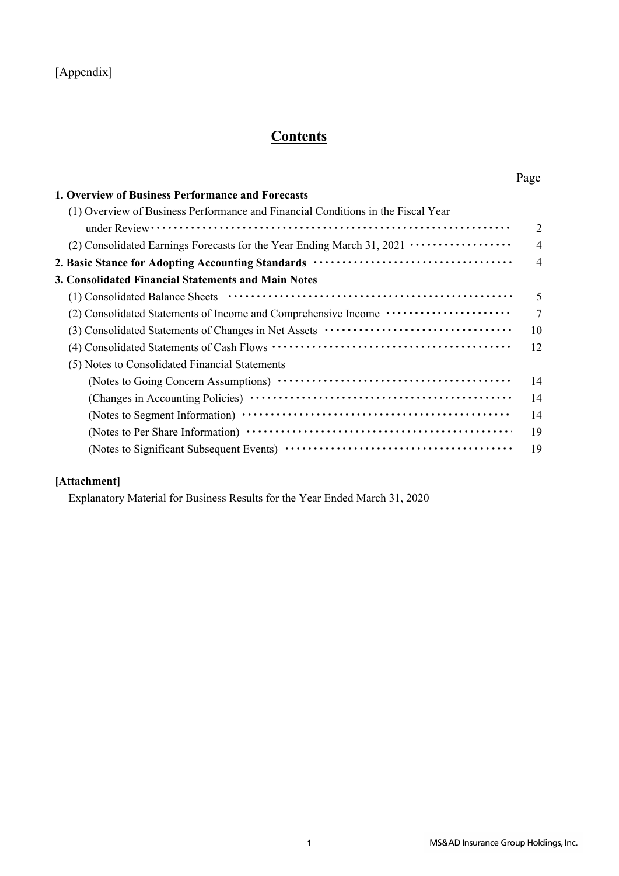## [Appendix]

# **Contents**

| 1. Overview of Business Performance and Forecasts                                        |                |
|------------------------------------------------------------------------------------------|----------------|
| (1) Overview of Business Performance and Financial Conditions in the Fiscal Year         |                |
|                                                                                          | $\overline{2}$ |
| (2) Consolidated Earnings Forecasts for the Year Ending March 31, 2021 ················· | $\overline{4}$ |
|                                                                                          | $\overline{4}$ |
| 3. Consolidated Financial Statements and Main Notes                                      |                |
|                                                                                          | 5              |
| (2) Consolidated Statements of Income and Comprehensive Income ······················    | 7              |
|                                                                                          | 10             |
|                                                                                          | 12             |
| (5) Notes to Consolidated Financial Statements                                           |                |
|                                                                                          | 14             |
|                                                                                          | 14             |
|                                                                                          | 14             |
|                                                                                          | 19             |
|                                                                                          | 19             |

## **[Attachment]**

Explanatory Material for Business Results for the Year Ended March 31, 2020

Page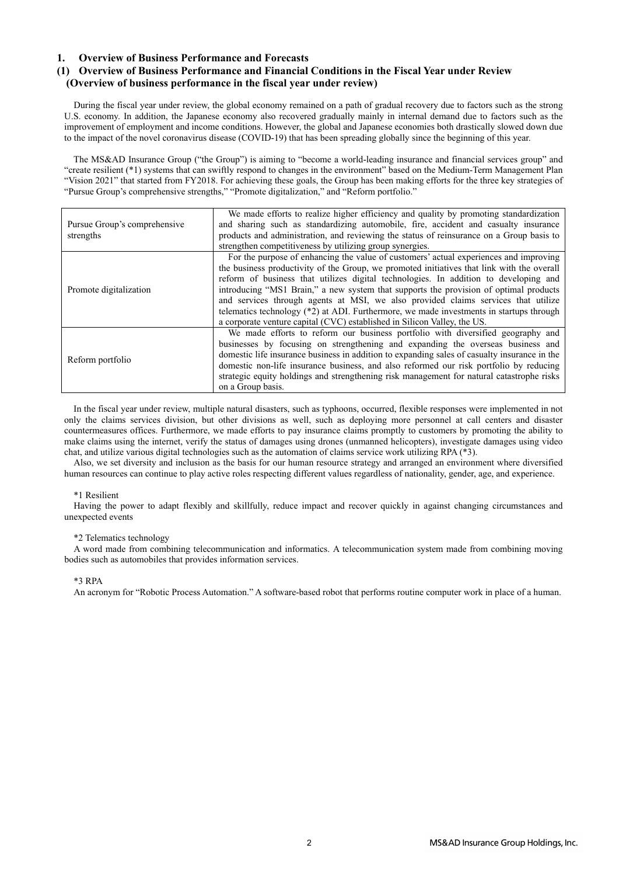## **1. Overview of Business Performance and Forecasts**

## **(1) Overview of Business Performance and Financial Conditions in the Fiscal Year under Review (Overview of business performance in the fiscal year under review)**

During the fiscal year under review, the global economy remained on a path of gradual recovery due to factors such as the strong U.S. economy. In addition, the Japanese economy also recovered gradually mainly in internal demand due to factors such as the improvement of employment and income conditions. However, the global and Japanese economies both drastically slowed down due to the impact of the novel coronavirus disease (COVID-19) that has been spreading globally since the beginning of this year.

The MS&AD Insurance Group ("the Group") is aiming to "become a world-leading insurance and financial services group" and "create resilient (\*1) systems that can swiftly respond to changes in the environment" based on the Medium-Term Management Plan "Vision 2021" that started from FY2018. For achieving these goals, the Group has been making efforts for the three key strategies of "Pursue Group's comprehensive strengths," "Promote digitalization," and "Reform portfolio."

| Pursue Group's comprehensive | We made efforts to realize higher efficiency and quality by promoting standardization<br>and sharing such as standardizing automobile, fire, accident and casualty insurance                                                                                                                                                                                                                                                                                                                                                                                                                                                       |
|------------------------------|------------------------------------------------------------------------------------------------------------------------------------------------------------------------------------------------------------------------------------------------------------------------------------------------------------------------------------------------------------------------------------------------------------------------------------------------------------------------------------------------------------------------------------------------------------------------------------------------------------------------------------|
| strengths                    | products and administration, and reviewing the status of reinsurance on a Group basis to                                                                                                                                                                                                                                                                                                                                                                                                                                                                                                                                           |
|                              | strengthen competitiveness by utilizing group synergies.                                                                                                                                                                                                                                                                                                                                                                                                                                                                                                                                                                           |
| Promote digitalization       | For the purpose of enhancing the value of customers' actual experiences and improving<br>the business productivity of the Group, we promoted initiatives that link with the overall<br>reform of business that utilizes digital technologies. In addition to developing and<br>introducing "MS1 Brain," a new system that supports the provision of optimal products<br>and services through agents at MSI, we also provided claims services that utilize<br>telematics technology $(*2)$ at ADI. Furthermore, we made investments in startups through<br>a corporate venture capital (CVC) established in Silicon Valley, the US. |
| Reform portfolio             | We made efforts to reform our business portfolio with diversified geography and<br>businesses by focusing on strengthening and expanding the overseas business and<br>domestic life insurance business in addition to expanding sales of casualty insurance in the<br>domestic non-life insurance business, and also reformed our risk portfolio by reducing<br>strategic equity holdings and strengthening risk management for natural catastrophe risks<br>on a Group basis.                                                                                                                                                     |

In the fiscal year under review, multiple natural disasters, such as typhoons, occurred, flexible responses were implemented in not only the claims services division, but other divisions as well, such as deploying more personnel at call centers and disaster countermeasures offices. Furthermore, we made efforts to pay insurance claims promptly to customers by promoting the ability to make claims using the internet, verify the status of damages using drones (unmanned helicopters), investigate damages using video chat, and utilize various digital technologies such as the automation of claims service work utilizing RPA (\*3).

Also, we set diversity and inclusion as the basis for our human resource strategy and arranged an environment where diversified human resources can continue to play active roles respecting different values regardless of nationality, gender, age, and experience.

#### \*1 Resilient

Having the power to adapt flexibly and skillfully, reduce impact and recover quickly in against changing circumstances and unexpected events

#### \*2 Telematics technology

A word made from combining telecommunication and informatics. A telecommunication system made from combining moving bodies such as automobiles that provides information services.

#### \*3 RPA

An acronym for "Robotic Process Automation." A software-based robot that performs routine computer work in place of a human.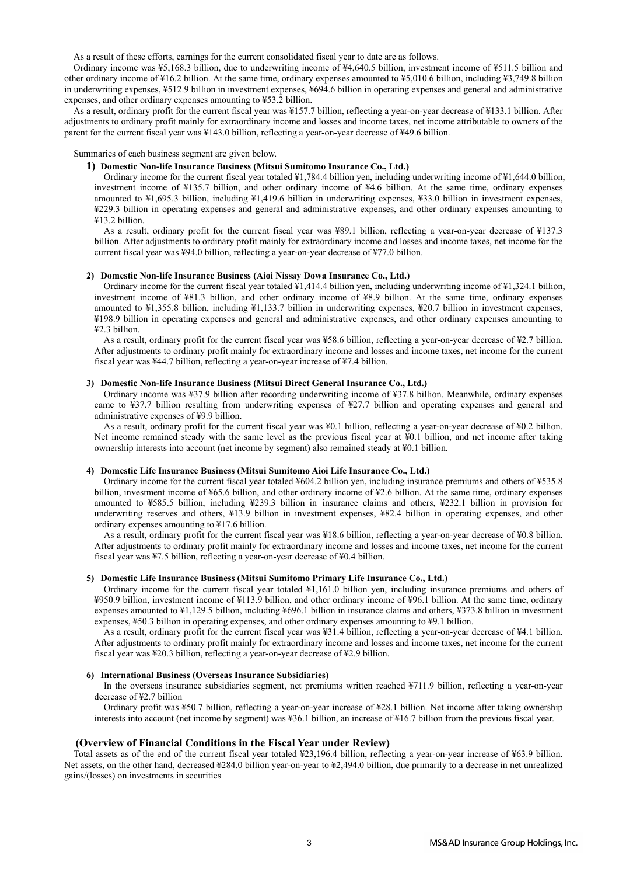As a result of these efforts, earnings for the current consolidated fiscal year to date are as follows.

Ordinary income was ¥5,168.3 billion, due to underwriting income of ¥4,640.5 billion, investment income of ¥511.5 billion and other ordinary income of ¥16.2 billion. At the same time, ordinary expenses amounted to ¥5,010.6 billion, including ¥3,749.8 billion in underwriting expenses, ¥512.9 billion in investment expenses, ¥694.6 billion in operating expenses and general and administrative expenses, and other ordinary expenses amounting to ¥53.2 billion.

As a result, ordinary profit for the current fiscal year was ¥157.7 billion, reflecting a year-on-year decrease of ¥133.1 billion. After adjustments to ordinary profit mainly for extraordinary income and losses and income taxes, net income attributable to owners of the parent for the current fiscal year was ¥143.0 billion, reflecting a year-on-year decrease of ¥49.6 billion.

Summaries of each business segment are given below.

#### **1) Domestic Non-life Insurance Business (Mitsui Sumitomo Insurance Co., Ltd.)**

Ordinary income for the current fiscal year totaled ¥1,784.4 billion yen, including underwriting income of ¥1,644.0 billion, investment income of ¥135.7 billion, and other ordinary income of ¥4.6 billion. At the same time, ordinary expenses amounted to ¥1,695.3 billion, including ¥1,419.6 billion in underwriting expenses, ¥33.0 billion in investment expenses, ¥229.3 billion in operating expenses and general and administrative expenses, and other ordinary expenses amounting to ¥13.2 billion.

As a result, ordinary profit for the current fiscal year was ¥89.1 billion, reflecting a year-on-year decrease of ¥137.3 billion. After adjustments to ordinary profit mainly for extraordinary income and losses and income taxes, net income for the current fiscal year was ¥94.0 billion, reflecting a year-on-year decrease of ¥77.0 billion.

#### **2) Domestic Non-life Insurance Business (Aioi Nissay Dowa Insurance Co., Ltd.)**

Ordinary income for the current fiscal year totaled ¥1,414.4 billion yen, including underwriting income of ¥1,324.1 billion, investment income of ¥81.3 billion, and other ordinary income of ¥8.9 billion. At the same time, ordinary expenses amounted to ¥1,355.8 billion, including ¥1,133.7 billion in underwriting expenses, ¥20.7 billion in investment expenses, ¥198.9 billion in operating expenses and general and administrative expenses, and other ordinary expenses amounting to ¥2.3 billion.

As a result, ordinary profit for the current fiscal year was ¥58.6 billion, reflecting a year-on-year decrease of ¥2.7 billion. After adjustments to ordinary profit mainly for extraordinary income and losses and income taxes, net income for the current fiscal year was ¥44.7 billion, reflecting a year-on-year increase of ¥7.4 billion.

#### **3) Domestic Non-life Insurance Business (Mitsui Direct General Insurance Co., Ltd.)**

Ordinary income was ¥37.9 billion after recording underwriting income of ¥37.8 billion. Meanwhile, ordinary expenses came to ¥37.7 billion resulting from underwriting expenses of ¥27.7 billion and operating expenses and general and administrative expenses of ¥9.9 billion.

 As a result, ordinary profit for the current fiscal year was ¥0.1 billion, reflecting a year-on-year decrease of ¥0.2 billion. Net income remained steady with the same level as the previous fiscal year at ¥0.1 billion, and net income after taking ownership interests into account (net income by segment) also remained steady at ¥0.1 billion.

#### **4) Domestic Life Insurance Business (Mitsui Sumitomo Aioi Life Insurance Co., Ltd.)**

Ordinary income for the current fiscal year totaled ¥604.2 billion yen, including insurance premiums and others of ¥535.8 billion, investment income of ¥65.6 billion, and other ordinary income of ¥2.6 billion. At the same time, ordinary expenses amounted to ¥585.5 billion, including ¥239.3 billion in insurance claims and others, ¥232.1 billion in provision for underwriting reserves and others, ¥13.9 billion in investment expenses, ¥82.4 billion in operating expenses, and other ordinary expenses amounting to ¥17.6 billion.

As a result, ordinary profit for the current fiscal year was ¥18.6 billion, reflecting a year-on-year decrease of ¥0.8 billion. After adjustments to ordinary profit mainly for extraordinary income and losses and income taxes, net income for the current fiscal year was ¥7.5 billion, reflecting a year-on-year decrease of ¥0.4 billion.

#### **5) Domestic Life Insurance Business (Mitsui Sumitomo Primary Life Insurance Co., Ltd.)**

Ordinary income for the current fiscal year totaled ¥1,161.0 billion yen, including insurance premiums and others of ¥950.9 billion, investment income of ¥113.9 billion, and other ordinary income of ¥96.1 billion. At the same time, ordinary expenses amounted to ¥1,129.5 billion, including ¥696.1 billion in insurance claims and others, ¥373.8 billion in investment expenses, ¥50.3 billion in operating expenses, and other ordinary expenses amounting to ¥9.1 billion.

As a result, ordinary profit for the current fiscal year was ¥31.4 billion, reflecting a year-on-year decrease of ¥4.1 billion. After adjustments to ordinary profit mainly for extraordinary income and losses and income taxes, net income for the current fiscal year was ¥20.3 billion, reflecting a year-on-year decrease of ¥2.9 billion.

#### **6) International Business (Overseas Insurance Subsidiaries)**

In the overseas insurance subsidiaries segment, net premiums written reached ¥711.9 billion, reflecting a year-on-year decrease of ¥2.7 billion

Ordinary profit was ¥50.7 billion, reflecting a year-on-year increase of ¥28.1 billion. Net income after taking ownership interests into account (net income by segment) was ¥36.1 billion, an increase of ¥16.7 billion from the previous fiscal year.

#### **(Overview of Financial Conditions in the Fiscal Year under Review)**

Total assets as of the end of the current fiscal year totaled ¥23,196.4 billion, reflecting a year-on-year increase of ¥63.9 billion. Net assets, on the other hand, decreased ¥284.0 billion year-on-year to ¥2,494.0 billion, due primarily to a decrease in net unrealized gains/(losses) on investments in securities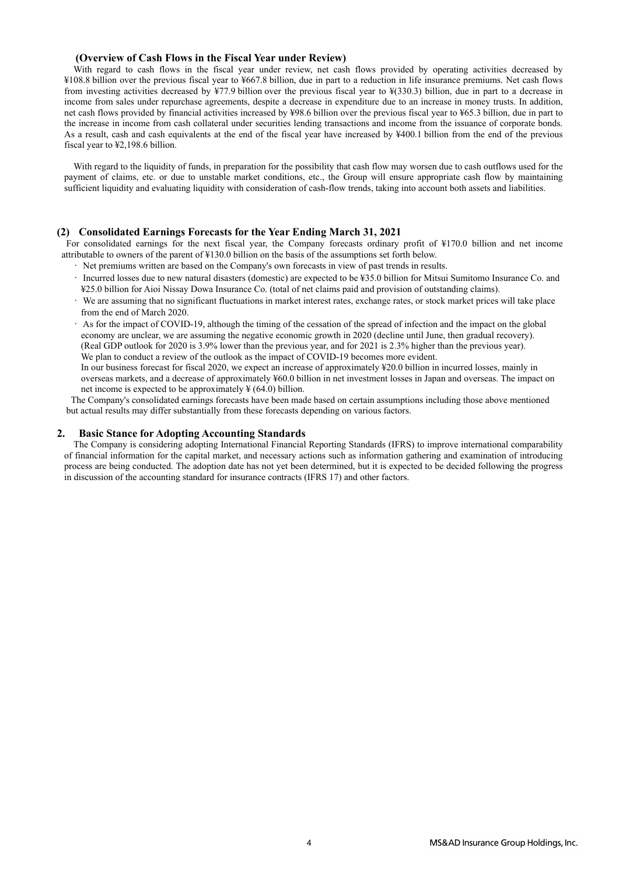## **(Overview of Cash Flows in the Fiscal Year under Review)**

With regard to cash flows in the fiscal year under review, net cash flows provided by operating activities decreased by ¥108.8 billion over the previous fiscal year to ¥667.8 billion, due in part to a reduction in life insurance premiums. Net cash flows from investing activities decreased by ¥77.9 billion over the previous fiscal year to ¥(330.3) billion, due in part to a decrease in income from sales under repurchase agreements, despite a decrease in expenditure due to an increase in money trusts. In addition, net cash flows provided by financial activities increased by ¥98.6 billion over the previous fiscal year to ¥65.3 billion, due in part to the increase in income from cash collateral under securities lending transactions and income from the issuance of corporate bonds. As a result, cash and cash equivalents at the end of the fiscal year have increased by ¥400.1 billion from the end of the previous fiscal year to ¥2,198.6 billion.

With regard to the liquidity of funds, in preparation for the possibility that cash flow may worsen due to cash outflows used for the payment of claims, etc. or due to unstable market conditions, etc., the Group will ensure appropriate cash flow by maintaining sufficient liquidity and evaluating liquidity with consideration of cash-flow trends, taking into account both assets and liabilities.

### **(2) Consolidated Earnings Forecasts for the Year Ending March 31, 2021**

For consolidated earnings for the next fiscal year, the Company forecasts ordinary profit of ¥170.0 billion and net income attributable to owners of the parent of ¥130.0 billion on the basis of the assumptions set forth below.

- Net premiums written are based on the Company's own forecasts in view of past trends in results.
- Incurred losses due to new natural disasters (domestic) are expected to be ¥35.0 billion for Mitsui Sumitomo Insurance Co. and ¥25.0 billion for Aioi Nissay Dowa Insurance Co. (total of net claims paid and provision of outstanding claims).
- We are assuming that no significant fluctuations in market interest rates, exchange rates, or stock market prices will take place from the end of March 2020.
- As for the impact of COVID-19, although the timing of the cessation of the spread of infection and the impact on the global economy are unclear, we are assuming the negative economic growth in 2020 (decline until June, then gradual recovery). (Real GDP outlook for 2020 is 3.9% lower than the previous year, and for 2021 is 2.3% higher than the previous year). We plan to conduct a review of the outlook as the impact of COVID-19 becomes more evident.
- In our business forecast for fiscal 2020, we expect an increase of approximately ¥20.0 billion in incurred losses, mainly in overseas markets, and a decrease of approximately ¥60.0 billion in net investment losses in Japan and overseas. The impact on net income is expected to be approximately  $\frac{1}{2}$  (64.0) billion.

The Company's consolidated earnings forecasts have been made based on certain assumptions including those above mentioned but actual results may differ substantially from these forecasts depending on various factors.

### **2. Basic Stance for Adopting Accounting Standards**

The Company is considering adopting International Financial Reporting Standards (IFRS) to improve international comparability of financial information for the capital market, and necessary actions such as information gathering and examination of introducing process are being conducted. The adoption date has not yet been determined, but it is expected to be decided following the progress in discussion of the accounting standard for insurance contracts (IFRS 17) and other factors.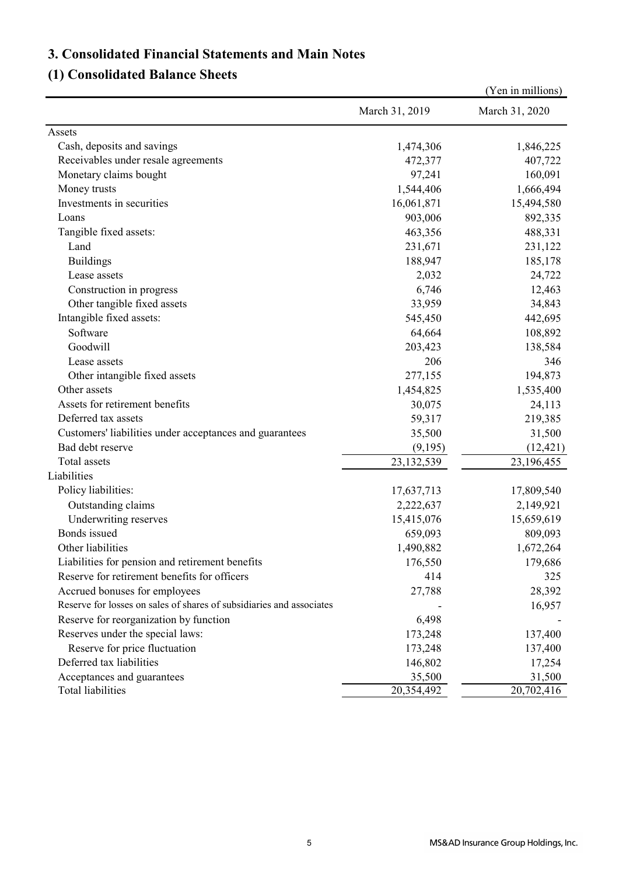# **3. Consolidated Financial Statements and Main Notes**

# **(1) Consolidated Balance Sheets**

|                                                                      |                | (Yen in millions) |
|----------------------------------------------------------------------|----------------|-------------------|
|                                                                      | March 31, 2019 | March 31, 2020    |
| Assets                                                               |                |                   |
| Cash, deposits and savings                                           | 1,474,306      | 1,846,225         |
| Receivables under resale agreements                                  | 472,377        | 407,722           |
| Monetary claims bought                                               | 97,241         | 160,091           |
| Money trusts                                                         | 1,544,406      | 1,666,494         |
| Investments in securities                                            | 16,061,871     | 15,494,580        |
| Loans                                                                | 903,006        | 892,335           |
| Tangible fixed assets:                                               | 463,356        | 488,331           |
| Land                                                                 | 231,671        | 231,122           |
| <b>Buildings</b>                                                     | 188,947        | 185,178           |
| Lease assets                                                         | 2,032          | 24,722            |
| Construction in progress                                             | 6,746          | 12,463            |
| Other tangible fixed assets                                          | 33,959         | 34,843            |
| Intangible fixed assets:                                             | 545,450        | 442,695           |
| Software                                                             | 64,664         | 108,892           |
| Goodwill                                                             | 203,423        | 138,584           |
| Lease assets                                                         | 206            | 346               |
| Other intangible fixed assets                                        | 277,155        | 194,873           |
| Other assets                                                         | 1,454,825      | 1,535,400         |
| Assets for retirement benefits                                       | 30,075         | 24,113            |
| Deferred tax assets                                                  | 59,317         | 219,385           |
| Customers' liabilities under acceptances and guarantees              | 35,500         | 31,500            |
| Bad debt reserve                                                     | (9,195)        | (12, 421)         |
| Total assets                                                         | 23, 132, 539   | 23,196,455        |
| Liabilities                                                          |                |                   |
| Policy liabilities:                                                  | 17,637,713     | 17,809,540        |
| Outstanding claims                                                   | 2,222,637      | 2,149,921         |
| Underwriting reserves                                                | 15,415,076     | 15,659,619        |
| Bonds issued                                                         | 659,093        | 809,093           |
| Other liabilities                                                    | 1,490,882      | 1,672,264         |
| Liabilities for pension and retirement benefits                      | 176,550        | 179,686           |
| Reserve for retirement benefits for officers                         | 414            | 325               |
| Accrued bonuses for employees                                        | 27,788         | 28,392            |
| Reserve for losses on sales of shares of subsidiaries and associates |                | 16,957            |
| Reserve for reorganization by function                               | 6,498          |                   |
| Reserves under the special laws:                                     | 173,248        | 137,400           |
| Reserve for price fluctuation                                        | 173,248        | 137,400           |
| Deferred tax liabilities                                             | 146,802        | 17,254            |
| Acceptances and guarantees                                           | 35,500         | 31,500            |
| Total liabilities                                                    | 20,354,492     | 20,702,416        |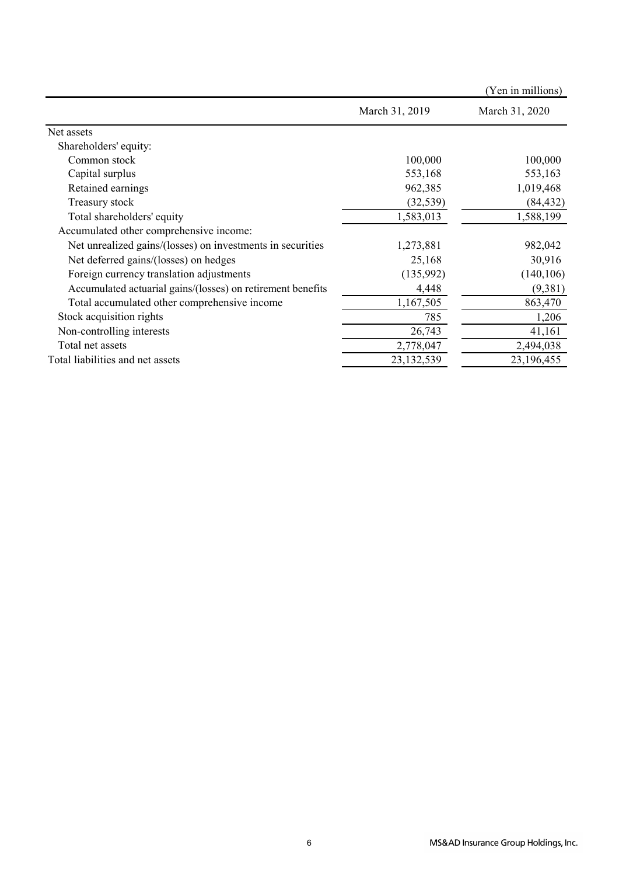|                                                             |                | (Yen in millions) |
|-------------------------------------------------------------|----------------|-------------------|
|                                                             | March 31, 2019 | March 31, 2020    |
| Net assets                                                  |                |                   |
| Shareholders' equity:                                       |                |                   |
| Common stock                                                | 100,000        | 100,000           |
| Capital surplus                                             | 553,168        | 553,163           |
| Retained earnings                                           | 962,385        | 1,019,468         |
| Treasury stock                                              | (32, 539)      | (84, 432)         |
| Total shareholders' equity                                  | 1,583,013      | 1,588,199         |
| Accumulated other comprehensive income:                     |                |                   |
| Net unrealized gains/(losses) on investments in securities  | 1,273,881      | 982,042           |
| Net deferred gains/(losses) on hedges                       | 25,168         | 30,916            |
| Foreign currency translation adjustments                    | (135,992)      | (140, 106)        |
| Accumulated actuarial gains/(losses) on retirement benefits | 4,448          | (9,381)           |
| Total accumulated other comprehensive income                | 1,167,505      | 863,470           |
| Stock acquisition rights                                    | 785            | 1,206             |
| Non-controlling interests                                   | 26,743         | 41,161            |
| Total net assets                                            | 2,778,047      | 2,494,038         |
| Total liabilities and net assets                            | 23,132,539     | 23,196,455        |
|                                                             |                |                   |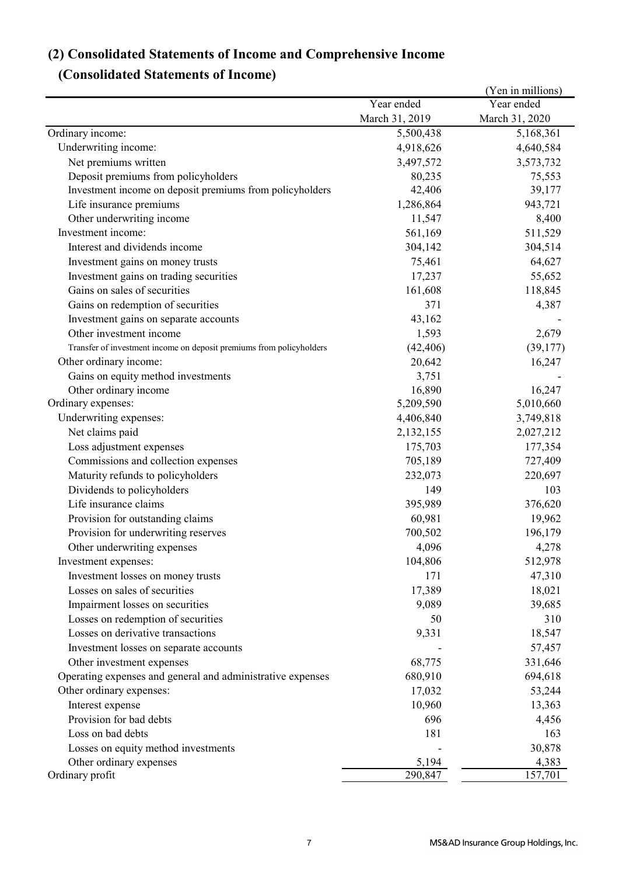# **(2) Consolidated Statements of Income and Comprehensive Income**

# **(Consolidated Statements of Income)**

| Year ended<br>Year ended<br>March 31, 2019<br>March 31, 2020<br>Ordinary income:<br>5,500,438<br>5,168,361<br>Underwriting income:<br>4,918,626<br>4,640,584<br>Net premiums written<br>3,497,572<br>3,573,732<br>Deposit premiums from policyholders<br>80,235<br>75,553<br>42,406<br>39,177<br>Investment income on deposit premiums from policyholders<br>1,286,864<br>943,721<br>Life insurance premiums<br>Other underwriting income<br>11,547<br>8,400<br>Investment income:<br>561,169<br>511,529<br>Interest and dividends income<br>304,142<br>304,514<br>75,461<br>64,627<br>Investment gains on money trusts<br>Investment gains on trading securities<br>17,237<br>55,652<br>Gains on sales of securities<br>161,608<br>118,845<br>371<br>Gains on redemption of securities<br>4,387<br>Investment gains on separate accounts<br>43,162<br>1,593<br>Other investment income<br>2,679<br>(42, 406)<br>(39,177)<br>Transfer of investment income on deposit premiums from policyholders<br>Other ordinary income:<br>20,642<br>16,247<br>3,751<br>Gains on equity method investments<br>16,890<br>16,247<br>Other ordinary income<br>5,209,590<br>5,010,660<br>Ordinary expenses:<br>Underwriting expenses:<br>4,406,840<br>3,749,818<br>Net claims paid<br>2,132,155<br>2,027,212<br>Loss adjustment expenses<br>175,703<br>177,354<br>Commissions and collection expenses<br>705,189<br>727,409<br>Maturity refunds to policyholders<br>232,073<br>220,697<br>Dividends to policyholders<br>149<br>103<br>Life insurance claims<br>395,989<br>376,620<br>Provision for outstanding claims<br>60,981<br>19,962 |
|---------------------------------------------------------------------------------------------------------------------------------------------------------------------------------------------------------------------------------------------------------------------------------------------------------------------------------------------------------------------------------------------------------------------------------------------------------------------------------------------------------------------------------------------------------------------------------------------------------------------------------------------------------------------------------------------------------------------------------------------------------------------------------------------------------------------------------------------------------------------------------------------------------------------------------------------------------------------------------------------------------------------------------------------------------------------------------------------------------------------------------------------------------------------------------------------------------------------------------------------------------------------------------------------------------------------------------------------------------------------------------------------------------------------------------------------------------------------------------------------------------------------------------------------------------------------------------------------------------------------------|
|                                                                                                                                                                                                                                                                                                                                                                                                                                                                                                                                                                                                                                                                                                                                                                                                                                                                                                                                                                                                                                                                                                                                                                                                                                                                                                                                                                                                                                                                                                                                                                                                                           |
|                                                                                                                                                                                                                                                                                                                                                                                                                                                                                                                                                                                                                                                                                                                                                                                                                                                                                                                                                                                                                                                                                                                                                                                                                                                                                                                                                                                                                                                                                                                                                                                                                           |
|                                                                                                                                                                                                                                                                                                                                                                                                                                                                                                                                                                                                                                                                                                                                                                                                                                                                                                                                                                                                                                                                                                                                                                                                                                                                                                                                                                                                                                                                                                                                                                                                                           |
|                                                                                                                                                                                                                                                                                                                                                                                                                                                                                                                                                                                                                                                                                                                                                                                                                                                                                                                                                                                                                                                                                                                                                                                                                                                                                                                                                                                                                                                                                                                                                                                                                           |
|                                                                                                                                                                                                                                                                                                                                                                                                                                                                                                                                                                                                                                                                                                                                                                                                                                                                                                                                                                                                                                                                                                                                                                                                                                                                                                                                                                                                                                                                                                                                                                                                                           |
|                                                                                                                                                                                                                                                                                                                                                                                                                                                                                                                                                                                                                                                                                                                                                                                                                                                                                                                                                                                                                                                                                                                                                                                                                                                                                                                                                                                                                                                                                                                                                                                                                           |
|                                                                                                                                                                                                                                                                                                                                                                                                                                                                                                                                                                                                                                                                                                                                                                                                                                                                                                                                                                                                                                                                                                                                                                                                                                                                                                                                                                                                                                                                                                                                                                                                                           |
|                                                                                                                                                                                                                                                                                                                                                                                                                                                                                                                                                                                                                                                                                                                                                                                                                                                                                                                                                                                                                                                                                                                                                                                                                                                                                                                                                                                                                                                                                                                                                                                                                           |
|                                                                                                                                                                                                                                                                                                                                                                                                                                                                                                                                                                                                                                                                                                                                                                                                                                                                                                                                                                                                                                                                                                                                                                                                                                                                                                                                                                                                                                                                                                                                                                                                                           |
|                                                                                                                                                                                                                                                                                                                                                                                                                                                                                                                                                                                                                                                                                                                                                                                                                                                                                                                                                                                                                                                                                                                                                                                                                                                                                                                                                                                                                                                                                                                                                                                                                           |
|                                                                                                                                                                                                                                                                                                                                                                                                                                                                                                                                                                                                                                                                                                                                                                                                                                                                                                                                                                                                                                                                                                                                                                                                                                                                                                                                                                                                                                                                                                                                                                                                                           |
|                                                                                                                                                                                                                                                                                                                                                                                                                                                                                                                                                                                                                                                                                                                                                                                                                                                                                                                                                                                                                                                                                                                                                                                                                                                                                                                                                                                                                                                                                                                                                                                                                           |
|                                                                                                                                                                                                                                                                                                                                                                                                                                                                                                                                                                                                                                                                                                                                                                                                                                                                                                                                                                                                                                                                                                                                                                                                                                                                                                                                                                                                                                                                                                                                                                                                                           |
|                                                                                                                                                                                                                                                                                                                                                                                                                                                                                                                                                                                                                                                                                                                                                                                                                                                                                                                                                                                                                                                                                                                                                                                                                                                                                                                                                                                                                                                                                                                                                                                                                           |
|                                                                                                                                                                                                                                                                                                                                                                                                                                                                                                                                                                                                                                                                                                                                                                                                                                                                                                                                                                                                                                                                                                                                                                                                                                                                                                                                                                                                                                                                                                                                                                                                                           |
|                                                                                                                                                                                                                                                                                                                                                                                                                                                                                                                                                                                                                                                                                                                                                                                                                                                                                                                                                                                                                                                                                                                                                                                                                                                                                                                                                                                                                                                                                                                                                                                                                           |
|                                                                                                                                                                                                                                                                                                                                                                                                                                                                                                                                                                                                                                                                                                                                                                                                                                                                                                                                                                                                                                                                                                                                                                                                                                                                                                                                                                                                                                                                                                                                                                                                                           |
|                                                                                                                                                                                                                                                                                                                                                                                                                                                                                                                                                                                                                                                                                                                                                                                                                                                                                                                                                                                                                                                                                                                                                                                                                                                                                                                                                                                                                                                                                                                                                                                                                           |
|                                                                                                                                                                                                                                                                                                                                                                                                                                                                                                                                                                                                                                                                                                                                                                                                                                                                                                                                                                                                                                                                                                                                                                                                                                                                                                                                                                                                                                                                                                                                                                                                                           |
|                                                                                                                                                                                                                                                                                                                                                                                                                                                                                                                                                                                                                                                                                                                                                                                                                                                                                                                                                                                                                                                                                                                                                                                                                                                                                                                                                                                                                                                                                                                                                                                                                           |
|                                                                                                                                                                                                                                                                                                                                                                                                                                                                                                                                                                                                                                                                                                                                                                                                                                                                                                                                                                                                                                                                                                                                                                                                                                                                                                                                                                                                                                                                                                                                                                                                                           |
|                                                                                                                                                                                                                                                                                                                                                                                                                                                                                                                                                                                                                                                                                                                                                                                                                                                                                                                                                                                                                                                                                                                                                                                                                                                                                                                                                                                                                                                                                                                                                                                                                           |
|                                                                                                                                                                                                                                                                                                                                                                                                                                                                                                                                                                                                                                                                                                                                                                                                                                                                                                                                                                                                                                                                                                                                                                                                                                                                                                                                                                                                                                                                                                                                                                                                                           |
|                                                                                                                                                                                                                                                                                                                                                                                                                                                                                                                                                                                                                                                                                                                                                                                                                                                                                                                                                                                                                                                                                                                                                                                                                                                                                                                                                                                                                                                                                                                                                                                                                           |
|                                                                                                                                                                                                                                                                                                                                                                                                                                                                                                                                                                                                                                                                                                                                                                                                                                                                                                                                                                                                                                                                                                                                                                                                                                                                                                                                                                                                                                                                                                                                                                                                                           |
|                                                                                                                                                                                                                                                                                                                                                                                                                                                                                                                                                                                                                                                                                                                                                                                                                                                                                                                                                                                                                                                                                                                                                                                                                                                                                                                                                                                                                                                                                                                                                                                                                           |
|                                                                                                                                                                                                                                                                                                                                                                                                                                                                                                                                                                                                                                                                                                                                                                                                                                                                                                                                                                                                                                                                                                                                                                                                                                                                                                                                                                                                                                                                                                                                                                                                                           |
|                                                                                                                                                                                                                                                                                                                                                                                                                                                                                                                                                                                                                                                                                                                                                                                                                                                                                                                                                                                                                                                                                                                                                                                                                                                                                                                                                                                                                                                                                                                                                                                                                           |
|                                                                                                                                                                                                                                                                                                                                                                                                                                                                                                                                                                                                                                                                                                                                                                                                                                                                                                                                                                                                                                                                                                                                                                                                                                                                                                                                                                                                                                                                                                                                                                                                                           |
|                                                                                                                                                                                                                                                                                                                                                                                                                                                                                                                                                                                                                                                                                                                                                                                                                                                                                                                                                                                                                                                                                                                                                                                                                                                                                                                                                                                                                                                                                                                                                                                                                           |
| 700,502<br>196,179<br>Provision for underwriting reserves                                                                                                                                                                                                                                                                                                                                                                                                                                                                                                                                                                                                                                                                                                                                                                                                                                                                                                                                                                                                                                                                                                                                                                                                                                                                                                                                                                                                                                                                                                                                                                 |
| 4,096<br>4,278<br>Other underwriting expenses                                                                                                                                                                                                                                                                                                                                                                                                                                                                                                                                                                                                                                                                                                                                                                                                                                                                                                                                                                                                                                                                                                                                                                                                                                                                                                                                                                                                                                                                                                                                                                             |
| 512,978<br>104,806<br>Investment expenses:                                                                                                                                                                                                                                                                                                                                                                                                                                                                                                                                                                                                                                                                                                                                                                                                                                                                                                                                                                                                                                                                                                                                                                                                                                                                                                                                                                                                                                                                                                                                                                                |
| 171<br>47,310<br>Investment losses on money trusts                                                                                                                                                                                                                                                                                                                                                                                                                                                                                                                                                                                                                                                                                                                                                                                                                                                                                                                                                                                                                                                                                                                                                                                                                                                                                                                                                                                                                                                                                                                                                                        |
| Losses on sales of securities<br>17,389<br>18,021                                                                                                                                                                                                                                                                                                                                                                                                                                                                                                                                                                                                                                                                                                                                                                                                                                                                                                                                                                                                                                                                                                                                                                                                                                                                                                                                                                                                                                                                                                                                                                         |
| 9,089<br>39,685<br>Impairment losses on securities                                                                                                                                                                                                                                                                                                                                                                                                                                                                                                                                                                                                                                                                                                                                                                                                                                                                                                                                                                                                                                                                                                                                                                                                                                                                                                                                                                                                                                                                                                                                                                        |
| Losses on redemption of securities<br>310<br>50                                                                                                                                                                                                                                                                                                                                                                                                                                                                                                                                                                                                                                                                                                                                                                                                                                                                                                                                                                                                                                                                                                                                                                                                                                                                                                                                                                                                                                                                                                                                                                           |
| Losses on derivative transactions<br>9,331<br>18,547                                                                                                                                                                                                                                                                                                                                                                                                                                                                                                                                                                                                                                                                                                                                                                                                                                                                                                                                                                                                                                                                                                                                                                                                                                                                                                                                                                                                                                                                                                                                                                      |
| 57,457                                                                                                                                                                                                                                                                                                                                                                                                                                                                                                                                                                                                                                                                                                                                                                                                                                                                                                                                                                                                                                                                                                                                                                                                                                                                                                                                                                                                                                                                                                                                                                                                                    |
| Investment losses on separate accounts<br>68,775                                                                                                                                                                                                                                                                                                                                                                                                                                                                                                                                                                                                                                                                                                                                                                                                                                                                                                                                                                                                                                                                                                                                                                                                                                                                                                                                                                                                                                                                                                                                                                          |
| 331,646<br>Other investment expenses                                                                                                                                                                                                                                                                                                                                                                                                                                                                                                                                                                                                                                                                                                                                                                                                                                                                                                                                                                                                                                                                                                                                                                                                                                                                                                                                                                                                                                                                                                                                                                                      |
| Operating expenses and general and administrative expenses<br>680,910<br>694,618                                                                                                                                                                                                                                                                                                                                                                                                                                                                                                                                                                                                                                                                                                                                                                                                                                                                                                                                                                                                                                                                                                                                                                                                                                                                                                                                                                                                                                                                                                                                          |
| Other ordinary expenses:<br>17,032<br>53,244                                                                                                                                                                                                                                                                                                                                                                                                                                                                                                                                                                                                                                                                                                                                                                                                                                                                                                                                                                                                                                                                                                                                                                                                                                                                                                                                                                                                                                                                                                                                                                              |
| Interest expense<br>10,960<br>13,363                                                                                                                                                                                                                                                                                                                                                                                                                                                                                                                                                                                                                                                                                                                                                                                                                                                                                                                                                                                                                                                                                                                                                                                                                                                                                                                                                                                                                                                                                                                                                                                      |
| Provision for bad debts<br>696<br>4,456                                                                                                                                                                                                                                                                                                                                                                                                                                                                                                                                                                                                                                                                                                                                                                                                                                                                                                                                                                                                                                                                                                                                                                                                                                                                                                                                                                                                                                                                                                                                                                                   |
| Loss on bad debts<br>181<br>163                                                                                                                                                                                                                                                                                                                                                                                                                                                                                                                                                                                                                                                                                                                                                                                                                                                                                                                                                                                                                                                                                                                                                                                                                                                                                                                                                                                                                                                                                                                                                                                           |
| Losses on equity method investments<br>30,878                                                                                                                                                                                                                                                                                                                                                                                                                                                                                                                                                                                                                                                                                                                                                                                                                                                                                                                                                                                                                                                                                                                                                                                                                                                                                                                                                                                                                                                                                                                                                                             |
| Other ordinary expenses<br>5,194<br>4,383<br>Ordinary profit<br>290,847<br>157,701                                                                                                                                                                                                                                                                                                                                                                                                                                                                                                                                                                                                                                                                                                                                                                                                                                                                                                                                                                                                                                                                                                                                                                                                                                                                                                                                                                                                                                                                                                                                        |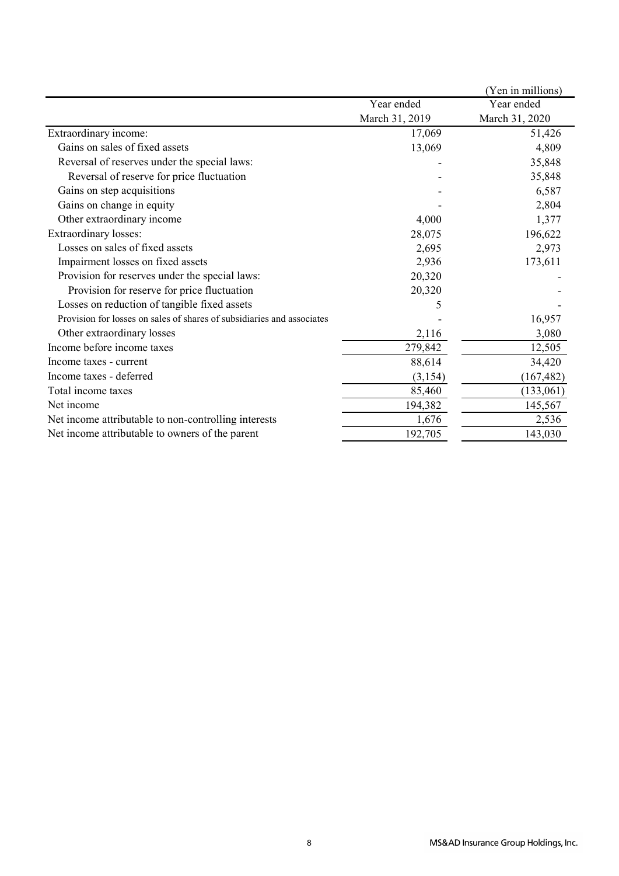|                                                                        |                | (Yen in millions) |
|------------------------------------------------------------------------|----------------|-------------------|
|                                                                        | Year ended     | Year ended        |
|                                                                        | March 31, 2019 | March 31, 2020    |
| Extraordinary income:                                                  | 17,069         | 51,426            |
| Gains on sales of fixed assets                                         | 13,069         | 4,809             |
| Reversal of reserves under the special laws:                           |                | 35,848            |
| Reversal of reserve for price fluctuation                              |                | 35,848            |
| Gains on step acquisitions                                             |                | 6,587             |
| Gains on change in equity                                              |                | 2,804             |
| Other extraordinary income                                             | 4,000          | 1,377             |
| <b>Extraordinary losses:</b>                                           | 28,075         | 196,622           |
| Losses on sales of fixed assets                                        | 2,695          | 2,973             |
| Impairment losses on fixed assets                                      | 2,936          | 173,611           |
| Provision for reserves under the special laws:                         | 20,320         |                   |
| Provision for reserve for price fluctuation                            | 20,320         |                   |
| Losses on reduction of tangible fixed assets                           | 5              |                   |
| Provision for losses on sales of shares of subsidiaries and associates |                | 16,957            |
| Other extraordinary losses                                             | 2,116          | 3,080             |
| Income before income taxes                                             | 279,842        | 12,505            |
| Income taxes - current                                                 | 88,614         | 34,420            |
| Income taxes - deferred                                                | (3,154)        | (167, 482)        |
| Total income taxes                                                     | 85,460         | (133,061)         |
| Net income                                                             | 194,382        | 145,567           |
| Net income attributable to non-controlling interests                   | 1,676          | 2,536             |
| Net income attributable to owners of the parent                        | 192,705        | 143,030           |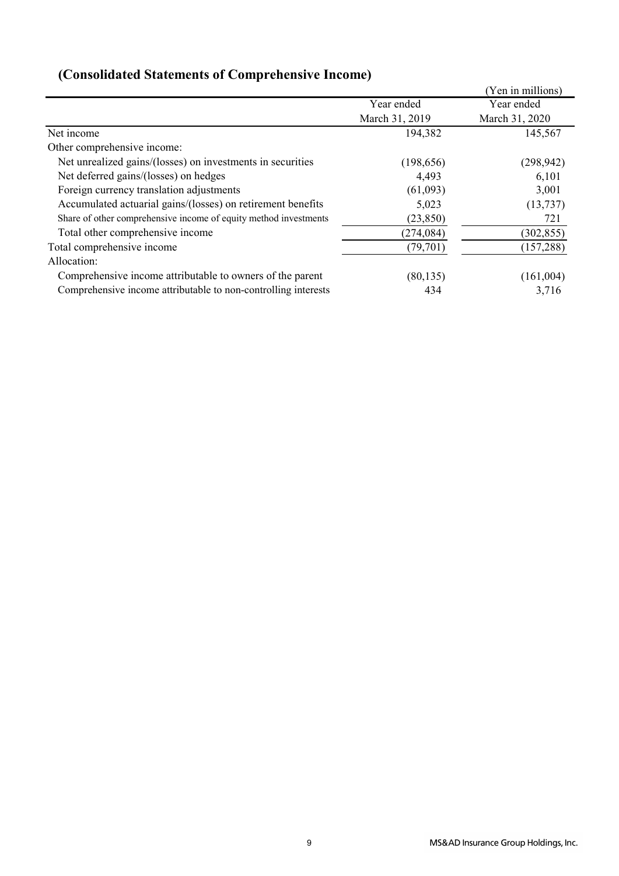|                                                                  |                | (Yen in millions) |
|------------------------------------------------------------------|----------------|-------------------|
|                                                                  | Year ended     | Year ended        |
|                                                                  | March 31, 2019 | March 31, 2020    |
| Net income                                                       | 194,382        | 145,567           |
| Other comprehensive income:                                      |                |                   |
| Net unrealized gains/(losses) on investments in securities       | (198, 656)     | (298, 942)        |
| Net deferred gains/(losses) on hedges                            | 4,493          | 6,101             |
| Foreign currency translation adjustments                         | (61,093)       | 3,001             |
| Accumulated actuarial gains/(losses) on retirement benefits      | 5,023          | (13, 737)         |
| Share of other comprehensive income of equity method investments | (23, 850)      | 721               |
| Total other comprehensive income                                 | (274, 084)     | (302, 855)        |
| Total comprehensive income                                       | (79, 701)      | (157, 288)        |
| Allocation:                                                      |                |                   |
| Comprehensive income attributable to owners of the parent        | (80, 135)      | (161,004)         |
| Comprehensive income attributable to non-controlling interests   | 434            | 3,716             |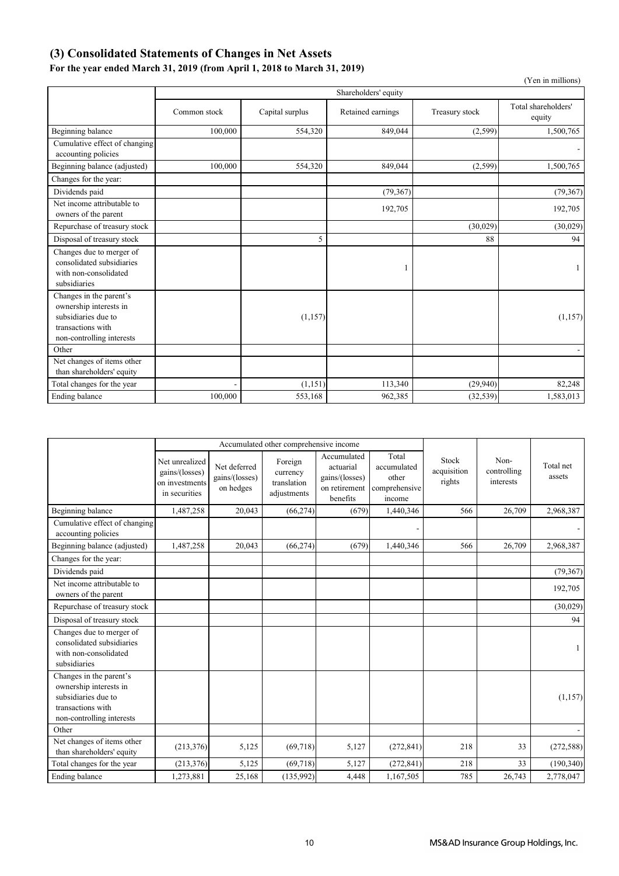## **(3) Consolidated Statements of Changes in Net Assets**

## **For the year ended March 31, 2019 (from April 1, 2018 to March 31, 2019)**

|                                                                                                                            |              |                 |                      |                | (Yen in millions)             |
|----------------------------------------------------------------------------------------------------------------------------|--------------|-----------------|----------------------|----------------|-------------------------------|
|                                                                                                                            |              |                 | Shareholders' equity |                |                               |
|                                                                                                                            | Common stock | Capital surplus | Retained earnings    | Treasury stock | Total shareholders'<br>equity |
| Beginning balance                                                                                                          | 100,000      | 554,320         | 849,044              | (2,599)        | 1,500,765                     |
| Cumulative effect of changing<br>accounting policies                                                                       |              |                 |                      |                |                               |
| Beginning balance (adjusted)                                                                                               | 100,000      | 554,320         | 849,044              | (2,599)        | 1,500,765                     |
| Changes for the year:                                                                                                      |              |                 |                      |                |                               |
| Dividends paid                                                                                                             |              |                 | (79, 367)            |                | (79, 367)                     |
| Net income attributable to<br>owners of the parent                                                                         |              |                 | 192,705              |                | 192,705                       |
| Repurchase of treasury stock                                                                                               |              |                 |                      | (30,029)       | (30,029)                      |
| Disposal of treasury stock                                                                                                 |              | 5               |                      | 88             | 94                            |
| Changes due to merger of<br>consolidated subsidiaries<br>with non-consolidated<br>subsidiaries                             |              |                 |                      |                |                               |
| Changes in the parent's<br>ownership interests in<br>subsidiaries due to<br>transactions with<br>non-controlling interests |              | (1,157)         |                      |                | (1, 157)                      |
| Other                                                                                                                      |              |                 |                      |                |                               |
| Net changes of items other<br>than shareholders' equity                                                                    |              |                 |                      |                |                               |
| Total changes for the year                                                                                                 |              | (1, 151)        | 113,340              | (29,940)       | 82,248                        |
| Ending balance                                                                                                             | 100,000      | 553,168         | 962,385              | (32, 539)      | 1,583,013                     |

| Accumulated other comprehensive income                                                                                     |                                                                     |                                             |                                                   |                                                                         |                                                          |                                |                                  |                     |
|----------------------------------------------------------------------------------------------------------------------------|---------------------------------------------------------------------|---------------------------------------------|---------------------------------------------------|-------------------------------------------------------------------------|----------------------------------------------------------|--------------------------------|----------------------------------|---------------------|
|                                                                                                                            | Net unrealized<br>gains/(losses)<br>on investments<br>in securities | Net deferred<br>gains/(losses)<br>on hedges | Foreign<br>currency<br>translation<br>adjustments | Accumulated<br>actuarial<br>gains/(losses)<br>on retirement<br>benefits | Total<br>accumulated<br>other<br>comprehensive<br>income | Stock<br>acquisition<br>rights | Non-<br>controlling<br>interests | Total net<br>assets |
| Beginning balance                                                                                                          | 1,487,258                                                           | 20,043                                      | (66, 274)                                         | (679)                                                                   | 1,440,346                                                | 566                            | 26,709                           | 2,968,387           |
| Cumulative effect of changing<br>accounting policies                                                                       |                                                                     |                                             |                                                   |                                                                         |                                                          |                                |                                  |                     |
| Beginning balance (adjusted)                                                                                               | 1,487,258                                                           | 20,043                                      | (66, 274)                                         | (679)                                                                   | 1,440,346                                                | 566                            | 26,709                           | 2,968,387           |
| Changes for the year:                                                                                                      |                                                                     |                                             |                                                   |                                                                         |                                                          |                                |                                  |                     |
| Dividends paid                                                                                                             |                                                                     |                                             |                                                   |                                                                         |                                                          |                                |                                  | (79, 367)           |
| Net income attributable to<br>owners of the parent                                                                         |                                                                     |                                             |                                                   |                                                                         |                                                          |                                |                                  | 192,705             |
| Repurchase of treasury stock                                                                                               |                                                                     |                                             |                                                   |                                                                         |                                                          |                                |                                  | (30,029)            |
| Disposal of treasury stock                                                                                                 |                                                                     |                                             |                                                   |                                                                         |                                                          |                                |                                  | 94                  |
| Changes due to merger of<br>consolidated subsidiaries<br>with non-consolidated<br>subsidiaries                             |                                                                     |                                             |                                                   |                                                                         |                                                          |                                |                                  |                     |
| Changes in the parent's<br>ownership interests in<br>subsidiaries due to<br>transactions with<br>non-controlling interests |                                                                     |                                             |                                                   |                                                                         |                                                          |                                |                                  | (1,157)             |
| Other                                                                                                                      |                                                                     |                                             |                                                   |                                                                         |                                                          |                                |                                  |                     |
| Net changes of items other<br>than shareholders' equity                                                                    | (213, 376)                                                          | 5,125                                       | (69,718)                                          | 5,127                                                                   | (272, 841)                                               | 218                            | 33                               | (272, 588)          |
| Total changes for the year                                                                                                 | (213, 376)                                                          | 5,125                                       | (69, 718)                                         | 5,127                                                                   | (272, 841)                                               | 218                            | 33                               | (190, 340)          |
| Ending balance                                                                                                             | 1,273,881                                                           | 25,168                                      | (135,992)                                         | 4,448                                                                   | 1,167,505                                                | 785                            | 26,743                           | 2,778,047           |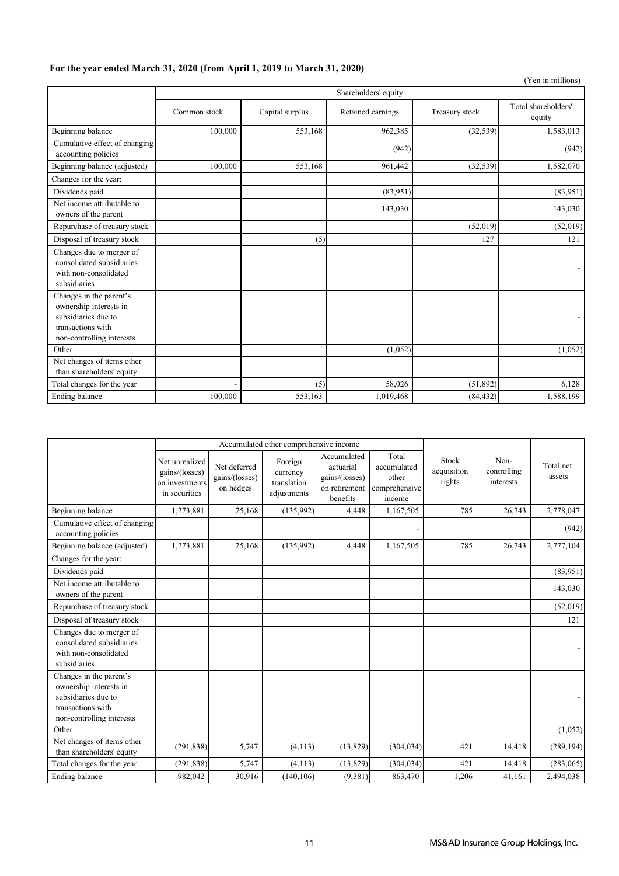## **For the year ended March 31, 2020 (from April 1, 2019 to March 31, 2020)**

|                                                                                                                            |                          |                 |                      |                | (Yen in millions)             |
|----------------------------------------------------------------------------------------------------------------------------|--------------------------|-----------------|----------------------|----------------|-------------------------------|
|                                                                                                                            |                          |                 | Shareholders' equity |                |                               |
|                                                                                                                            | Common stock             | Capital surplus | Retained earnings    | Treasury stock | Total shareholders'<br>equity |
| Beginning balance                                                                                                          | 100,000                  | 553,168         | 962,385              | (32, 539)      | 1,583,013                     |
| Cumulative effect of changing<br>accounting policies                                                                       |                          |                 | (942)                |                | (942)                         |
| Beginning balance (adjusted)                                                                                               | 100,000                  | 553,168         | 961,442              | (32, 539)      | 1,582,070                     |
| Changes for the year:                                                                                                      |                          |                 |                      |                |                               |
| Dividends paid                                                                                                             |                          |                 | (83,951)             |                | (83,951)                      |
| Net income attributable to<br>owners of the parent                                                                         |                          |                 | 143,030              |                | 143,030                       |
| Repurchase of treasury stock                                                                                               |                          |                 |                      | (52,019)       | (52,019)                      |
| Disposal of treasury stock                                                                                                 |                          | (5)             |                      | 127            | 121                           |
| Changes due to merger of<br>consolidated subsidiaries<br>with non-consolidated<br>subsidiaries                             |                          |                 |                      |                |                               |
| Changes in the parent's<br>ownership interests in<br>subsidiaries due to<br>transactions with<br>non-controlling interests |                          |                 |                      |                |                               |
| Other                                                                                                                      |                          |                 | (1,052)              |                | (1,052)                       |
| Net changes of items other<br>than shareholders' equity                                                                    |                          |                 |                      |                |                               |
| Total changes for the year                                                                                                 | $\overline{\phantom{a}}$ | (5)             | 58,026               | (51, 892)      | 6,128                         |
| Ending balance                                                                                                             | 100,000                  | 553,163         | 1,019,468            | (84, 432)      | 1,588,199                     |

| Accumulated other comprehensive income                                                                                     |                                                                     |                                             |                                                   |                                                                         |                                                          |                                |                                  |                     |
|----------------------------------------------------------------------------------------------------------------------------|---------------------------------------------------------------------|---------------------------------------------|---------------------------------------------------|-------------------------------------------------------------------------|----------------------------------------------------------|--------------------------------|----------------------------------|---------------------|
|                                                                                                                            | Net unrealized<br>gains/(losses)<br>on investments<br>in securities | Net deferred<br>gains/(losses)<br>on hedges | Foreign<br>currency<br>translation<br>adjustments | Accumulated<br>actuarial<br>gains/(losses)<br>on retirement<br>benefits | Total<br>accumulated<br>other<br>comprehensive<br>income | Stock<br>acquisition<br>rights | Non-<br>controlling<br>interests | Total net<br>assets |
| Beginning balance                                                                                                          | 1,273,881                                                           | 25,168                                      | (135,992)                                         | 4,448                                                                   | 1,167,505                                                | 785                            | 26,743                           | 2,778,047           |
| Cumulative effect of changing<br>accounting policies                                                                       |                                                                     |                                             |                                                   |                                                                         |                                                          |                                |                                  | (942)               |
| Beginning balance (adjusted)                                                                                               | 1,273,881                                                           | 25,168                                      | (135,992)                                         | 4,448                                                                   | 1,167,505                                                | 785                            | 26,743                           | 2,777,104           |
| Changes for the year:                                                                                                      |                                                                     |                                             |                                                   |                                                                         |                                                          |                                |                                  |                     |
| Dividends paid                                                                                                             |                                                                     |                                             |                                                   |                                                                         |                                                          |                                |                                  | (83,951)            |
| Net income attributable to<br>owners of the parent                                                                         |                                                                     |                                             |                                                   |                                                                         |                                                          |                                |                                  | 143,030             |
| Repurchase of treasury stock                                                                                               |                                                                     |                                             |                                                   |                                                                         |                                                          |                                |                                  | (52,019)            |
| Disposal of treasury stock                                                                                                 |                                                                     |                                             |                                                   |                                                                         |                                                          |                                |                                  | 121                 |
| Changes due to merger of<br>consolidated subsidiaries<br>with non-consolidated<br>subsidiaries                             |                                                                     |                                             |                                                   |                                                                         |                                                          |                                |                                  |                     |
| Changes in the parent's<br>ownership interests in<br>subsidiaries due to<br>transactions with<br>non-controlling interests |                                                                     |                                             |                                                   |                                                                         |                                                          |                                |                                  |                     |
| Other                                                                                                                      |                                                                     |                                             |                                                   |                                                                         |                                                          |                                |                                  | (1,052)             |
| Net changes of items other<br>than shareholders' equity                                                                    | (291, 838)                                                          | 5,747                                       | (4, 113)                                          | (13,829)                                                                | (304, 034)                                               | 421                            | 14,418                           | (289, 194)          |
| Total changes for the year                                                                                                 | (291, 838)                                                          | 5,747                                       | (4, 113)                                          | (13,829)                                                                | (304, 034)                                               | 421                            | 14,418                           | (283,065)           |
| Ending balance                                                                                                             | 982,042                                                             | 30,916                                      | (140, 106)                                        | (9, 381)                                                                | 863,470                                                  | 1,206                          | 41,161                           | 2,494,038           |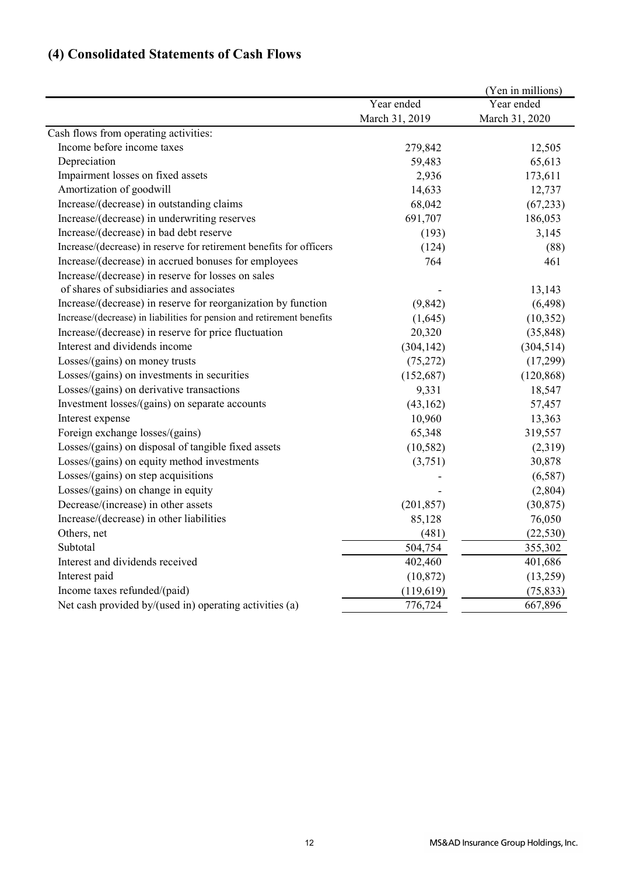# **(4) Consolidated Statements of Cash Flows**

|                                                                        |                | (Yen in millions) |
|------------------------------------------------------------------------|----------------|-------------------|
|                                                                        | Year ended     | Year ended        |
|                                                                        | March 31, 2019 | March 31, 2020    |
| Cash flows from operating activities:                                  |                |                   |
| Income before income taxes                                             | 279,842        | 12,505            |
| Depreciation                                                           | 59,483         | 65,613            |
| Impairment losses on fixed assets                                      | 2,936          | 173,611           |
| Amortization of goodwill                                               | 14,633         | 12,737            |
| Increase/(decrease) in outstanding claims                              | 68,042         | (67, 233)         |
| Increase/(decrease) in underwriting reserves                           | 691,707        | 186,053           |
| Increase/(decrease) in bad debt reserve                                | (193)          | 3,145             |
| Increase/(decrease) in reserve for retirement benefits for officers    | (124)          | (88)              |
| Increase/(decrease) in accrued bonuses for employees                   | 764            | 461               |
| Increase/(decrease) in reserve for losses on sales                     |                |                   |
| of shares of subsidiaries and associates                               |                | 13,143            |
| Increase/(decrease) in reserve for reorganization by function          | (9, 842)       | (6, 498)          |
| Increase/(decrease) in liabilities for pension and retirement benefits | (1,645)        | (10, 352)         |
| Increase/(decrease) in reserve for price fluctuation                   | 20,320         | (35, 848)         |
| Interest and dividends income                                          | (304, 142)     | (304, 514)        |
| Losses/(gains) on money trusts                                         | (75, 272)      | (17,299)          |
| Losses/(gains) on investments in securities                            | (152, 687)     | (120, 868)        |
| Losses/(gains) on derivative transactions                              | 9,331          | 18,547            |
| Investment losses/(gains) on separate accounts                         | (43,162)       | 57,457            |
| Interest expense                                                       | 10,960         | 13,363            |
| Foreign exchange losses/(gains)                                        | 65,348         | 319,557           |
| Losses/(gains) on disposal of tangible fixed assets                    | (10, 582)      | (2,319)           |
| Losses/(gains) on equity method investments                            | (3,751)        | 30,878            |
| Losses/(gains) on step acquisitions                                    |                | (6,587)           |
| Losses/(gains) on change in equity                                     |                | (2,804)           |
| Decrease/(increase) in other assets                                    | (201, 857)     | (30, 875)         |
| Increase/(decrease) in other liabilities                               | 85,128         | 76,050            |
| Others, net                                                            | (481)          | (22, 530)         |
| Subtotal                                                               | 504,754        | 355,302           |
| Interest and dividends received                                        | 402,460        | 401,686           |
| Interest paid                                                          | (10, 872)      | (13,259)          |
| Income taxes refunded/(paid)                                           | (119,619)      | (75, 833)         |
| Net cash provided by/(used in) operating activities (a)                | 776,724        | 667,896           |
|                                                                        |                |                   |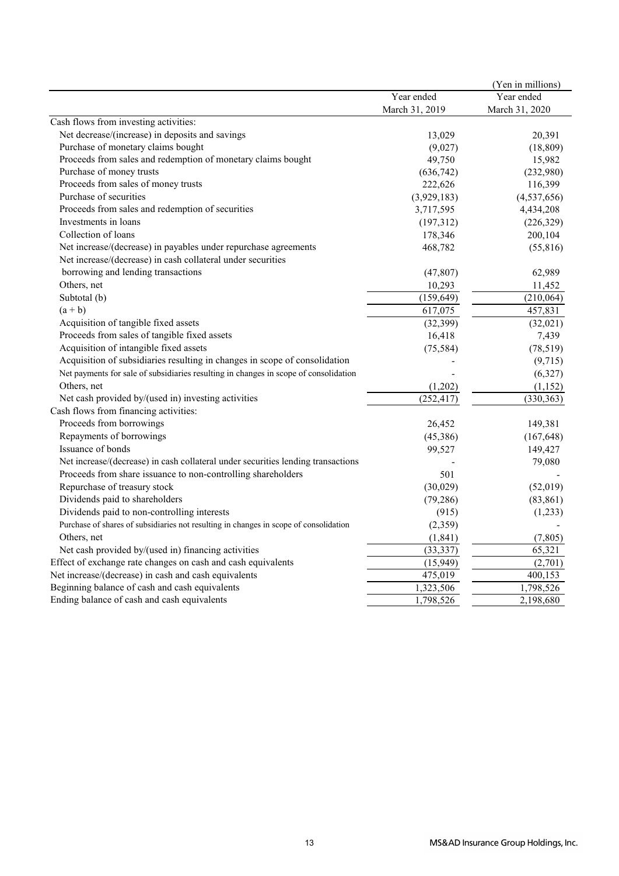|                                                                                       |                | (Yen in millions) |
|---------------------------------------------------------------------------------------|----------------|-------------------|
|                                                                                       | Year ended     | Year ended        |
|                                                                                       | March 31, 2019 | March 31, 2020    |
| Cash flows from investing activities:                                                 |                |                   |
| Net decrease/(increase) in deposits and savings                                       | 13,029         | 20,391            |
| Purchase of monetary claims bought                                                    | (9,027)        | (18, 809)         |
| Proceeds from sales and redemption of monetary claims bought                          | 49,750         | 15,982            |
| Purchase of money trusts                                                              | (636, 742)     | (232,980)         |
| Proceeds from sales of money trusts                                                   | 222,626        | 116,399           |
| Purchase of securities                                                                | (3,929,183)    | (4,537,656)       |
| Proceeds from sales and redemption of securities                                      | 3,717,595      | 4,434,208         |
| Investments in loans                                                                  | (197,312)      | (226, 329)        |
| Collection of loans                                                                   | 178,346        | 200,104           |
| Net increase/(decrease) in payables under repurchase agreements                       | 468,782        | (55,816)          |
| Net increase/(decrease) in cash collateral under securities                           |                |                   |
| borrowing and lending transactions                                                    | (47, 807)      | 62,989            |
| Others, net                                                                           | 10,293         | 11,452            |
| Subtotal (b)                                                                          | (159, 649)     | (210,064)         |
| $(a + b)$                                                                             | 617,075        | 457,831           |
| Acquisition of tangible fixed assets                                                  | (32, 399)      | (32,021)          |
| Proceeds from sales of tangible fixed assets                                          | 16,418         | 7,439             |
| Acquisition of intangible fixed assets                                                | (75, 584)      | (78, 519)         |
| Acquisition of subsidiaries resulting in changes in scope of consolidation            |                | (9,715)           |
| Net payments for sale of subsidiaries resulting in changes in scope of consolidation  |                | (6,327)           |
| Others, net                                                                           | (1,202)        | (1,152)           |
| Net cash provided by/(used in) investing activities                                   | (252, 417)     | (330, 363)        |
| Cash flows from financing activities:                                                 |                |                   |
| Proceeds from borrowings                                                              | 26,452         | 149,381           |
| Repayments of borrowings                                                              | (45,386)       | (167, 648)        |
| Issuance of bonds                                                                     | 99,527         | 149,427           |
| Net increase/(decrease) in cash collateral under securities lending transactions      |                | 79,080            |
| Proceeds from share issuance to non-controlling shareholders                          | 501            |                   |
| Repurchase of treasury stock                                                          | (30,029)       | (52,019)          |
| Dividends paid to shareholders                                                        | (79, 286)      | (83, 861)         |
| Dividends paid to non-controlling interests                                           | (915)          | (1,233)           |
| Purchase of shares of subsidiaries not resulting in changes in scope of consolidation | (2,359)        |                   |
| Others, net                                                                           | (1, 841)       | (7,805)           |
| Net cash provided by/(used in) financing activities                                   | (33, 337)      | 65,321            |
| Effect of exchange rate changes on cash and cash equivalents                          | (15,949)       | (2,701)           |
| Net increase/(decrease) in cash and cash equivalents                                  | 475,019        | 400,153           |
| Beginning balance of cash and cash equivalents                                        | 1,323,506      | 1,798,526         |
| Ending balance of cash and cash equivalents                                           | 1,798,526      | 2,198,680         |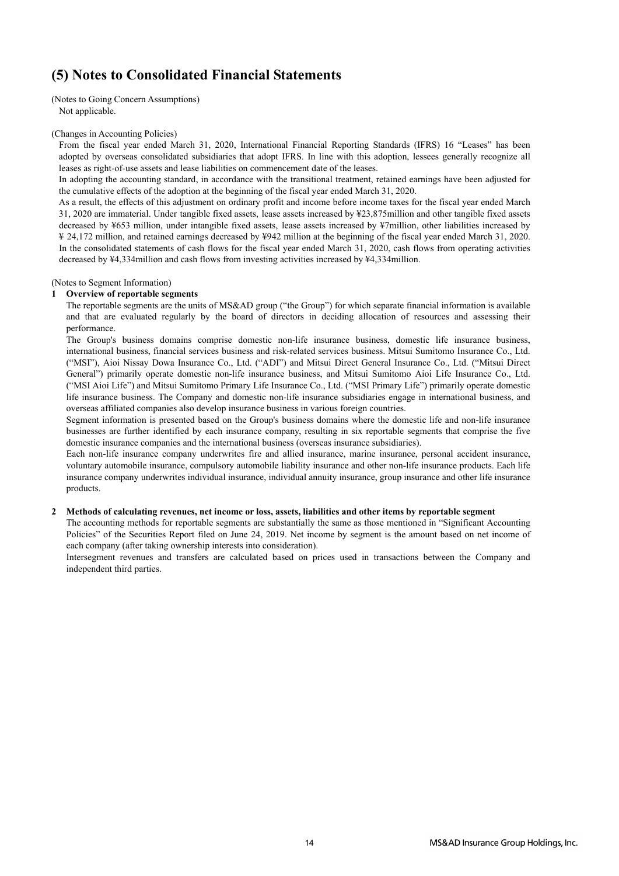## **(5) Notes to Consolidated Financial Statements**

(Notes to Going Concern Assumptions) Not applicable.

#### (Changes in Accounting Policies)

From the fiscal year ended March 31, 2020, International Financial Reporting Standards (IFRS) 16 "Leases" has been adopted by overseas consolidated subsidiaries that adopt IFRS. In line with this adoption, lessees generally recognize all leases as right-of-use assets and lease liabilities on commencement date of the leases.

In adopting the accounting standard, in accordance with the transitional treatment, retained earnings have been adjusted for the cumulative effects of the adoption at the beginning of the fiscal year ended March 31, 2020.

As a result, the effects of this adjustment on ordinary profit and income before income taxes for the fiscal year ended March 31, 2020 are immaterial. Under tangible fixed assets, lease assets increased by ¥23,875million and other tangible fixed assets decreased by ¥653 million, under intangible fixed assets, lease assets increased by ¥7million, other liabilities increased by ¥ 24,172 million, and retained earnings decreased by ¥942 million at the beginning of the fiscal year ended March 31, 2020. In the consolidated statements of cash flows for the fiscal year ended March 31, 2020, cash flows from operating activities decreased by ¥4,334million and cash flows from investing activities increased by ¥4,334million.

#### (Notes to Segment Information)

#### **1 Overview of reportable segments**

The reportable segments are the units of MS&AD group ("the Group") for which separate financial information is available and that are evaluated regularly by the board of directors in deciding allocation of resources and assessing their performance.

The Group's business domains comprise domestic non-life insurance business, domestic life insurance business, international business, financial services business and risk-related services business. Mitsui Sumitomo Insurance Co., Ltd. ("MSI"), Aioi Nissay Dowa Insurance Co., Ltd. ("ADI") and Mitsui Direct General Insurance Co., Ltd. ("Mitsui Direct General") primarily operate domestic non-life insurance business, and Mitsui Sumitomo Aioi Life Insurance Co., Ltd. ("MSI Aioi Life") and Mitsui Sumitomo Primary Life Insurance Co., Ltd. ("MSI Primary Life") primarily operate domestic life insurance business. The Company and domestic non-life insurance subsidiaries engage in international business, and overseas affiliated companies also develop insurance business in various foreign countries.

Segment information is presented based on the Group's business domains where the domestic life and non-life insurance businesses are further identified by each insurance company, resulting in six reportable segments that comprise the five domestic insurance companies and the international business (overseas insurance subsidiaries).

Each non-life insurance company underwrites fire and allied insurance, marine insurance, personal accident insurance, voluntary automobile insurance, compulsory automobile liability insurance and other non-life insurance products. Each life insurance company underwrites individual insurance, individual annuity insurance, group insurance and other life insurance products.

#### **2 Methods of calculating revenues, net income or loss, assets, liabilities and other items by reportable segment**

The accounting methods for reportable segments are substantially the same as those mentioned in "Significant Accounting Policies" of the Securities Report filed on June 24, 2019. Net income by segment is the amount based on net income of each company (after taking ownership interests into consideration).

Intersegment revenues and transfers are calculated based on prices used in transactions between the Company and independent third parties.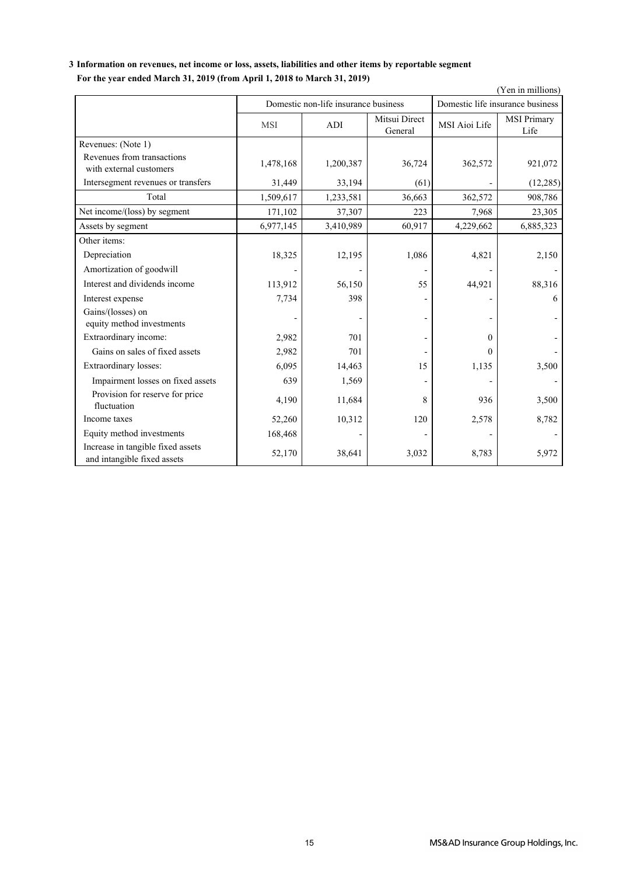## **3 Information on revenues, net income or loss, assets, liabilities and other items by reportable segment For the year ended March 31, 2019 (from April 1, 2018 to March 31, 2019)**

| Por the year enged march 31, 2017 (from April 1, 2016 to march 31, 2017)<br>(Yen in millions) |            |                                      |                          |                                  |                            |  |  |  |
|-----------------------------------------------------------------------------------------------|------------|--------------------------------------|--------------------------|----------------------------------|----------------------------|--|--|--|
|                                                                                               |            | Domestic non-life insurance business |                          | Domestic life insurance business |                            |  |  |  |
|                                                                                               | <b>MSI</b> | ADI                                  | Mitsui Direct<br>General | MSI Aioi Life                    | <b>MSI Primary</b><br>Life |  |  |  |
| Revenues: (Note 1)                                                                            |            |                                      |                          |                                  |                            |  |  |  |
| Revenues from transactions<br>with external customers                                         | 1,478,168  | 1,200,387                            | 36,724                   | 362,572                          | 921,072                    |  |  |  |
| Intersegment revenues or transfers                                                            | 31,449     | 33,194                               | (61)                     |                                  | (12, 285)                  |  |  |  |
| Total                                                                                         | 1,509,617  | 1,233,581                            | 36,663                   | 362,572                          | 908,786                    |  |  |  |
| Net income/(loss) by segment                                                                  | 171,102    | 37,307                               | 223                      | 7,968                            | 23,305                     |  |  |  |
| Assets by segment                                                                             | 6,977,145  | 3,410,989                            | 60,917                   | 4,229,662                        | 6,885,323                  |  |  |  |
| Other items:                                                                                  |            |                                      |                          |                                  |                            |  |  |  |
| Depreciation                                                                                  | 18,325     | 12,195                               | 1,086                    | 4,821                            | 2,150                      |  |  |  |
| Amortization of goodwill                                                                      |            |                                      |                          |                                  |                            |  |  |  |
| Interest and dividends income                                                                 | 113,912    | 56,150                               | 55                       | 44,921                           | 88,316                     |  |  |  |
| Interest expense                                                                              | 7,734      | 398                                  |                          |                                  | 6                          |  |  |  |
| Gains/(losses) on<br>equity method investments                                                |            |                                      |                          |                                  |                            |  |  |  |
| Extraordinary income:                                                                         | 2,982      | 701                                  |                          | 0                                |                            |  |  |  |
| Gains on sales of fixed assets                                                                | 2,982      | 701                                  |                          | 0                                |                            |  |  |  |
| Extraordinary losses:                                                                         | 6,095      | 14,463                               | 15                       | 1,135                            | 3,500                      |  |  |  |
| Impairment losses on fixed assets                                                             | 639        | 1,569                                |                          |                                  |                            |  |  |  |
| Provision for reserve for price<br>fluctuation                                                | 4,190      | 11,684                               | 8                        | 936                              | 3,500                      |  |  |  |
| Income taxes                                                                                  | 52,260     | 10,312                               | 120                      | 2,578                            | 8,782                      |  |  |  |
| Equity method investments                                                                     | 168,468    |                                      |                          |                                  |                            |  |  |  |
| Increase in tangible fixed assets<br>and intangible fixed assets                              | 52,170     | 38,641                               | 3,032                    | 8,783                            | 5,972                      |  |  |  |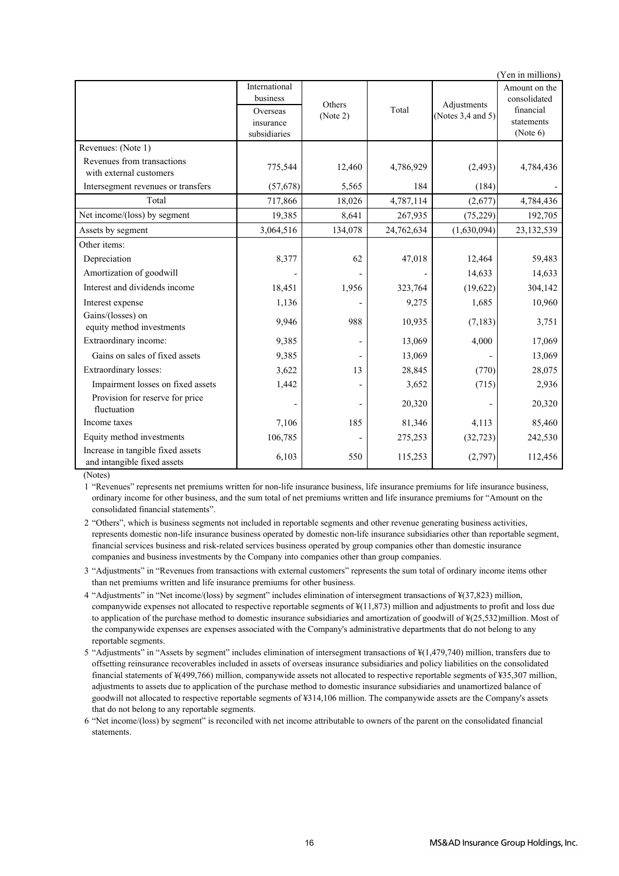| (Yen in millions)                                                |                                                                    |                    |            |                                       |                                                                      |  |
|------------------------------------------------------------------|--------------------------------------------------------------------|--------------------|------------|---------------------------------------|----------------------------------------------------------------------|--|
|                                                                  | International<br>business<br>Overseas<br>insurance<br>subsidiaries | Others<br>(Note 2) | Total      | Adjustments<br>(Notes $3,4$ and $5$ ) | Amount on the<br>consolidated<br>financial<br>statements<br>(Note 6) |  |
| Revenues: (Note 1)                                               |                                                                    |                    |            |                                       |                                                                      |  |
| Revenues from transactions<br>with external customers            | 775,544                                                            | 12,460             | 4,786,929  | (2, 493)                              | 4,784,436                                                            |  |
| Intersegment revenues or transfers                               | (57,678)                                                           | 5,565              | 184        | (184)                                 |                                                                      |  |
| Total                                                            | 717,866                                                            | 18,026             | 4,787,114  | (2,677)                               | 4,784,436                                                            |  |
| Net income/(loss) by segment                                     | 19,385                                                             | 8,641              | 267,935    | (75, 229)                             | 192,705                                                              |  |
| Assets by segment                                                | 3,064,516                                                          | 134,078            | 24,762,634 | (1,630,094)                           | 23,132,539                                                           |  |
| Other items:                                                     |                                                                    |                    |            |                                       |                                                                      |  |
| Depreciation                                                     | 8,377                                                              | 62                 | 47,018     | 12,464                                | 59,483                                                               |  |
| Amortization of goodwill                                         |                                                                    |                    |            | 14,633                                | 14,633                                                               |  |
| Interest and dividends income                                    | 18,451                                                             | 1,956              | 323,764    | (19,622)                              | 304,142                                                              |  |
| Interest expense                                                 | 1,136                                                              |                    | 9,275      | 1,685                                 | 10,960                                                               |  |
| Gains/(losses) on<br>equity method investments                   | 9,946                                                              | 988                | 10,935     | (7,183)                               | 3,751                                                                |  |
| Extraordinary income:                                            | 9,385                                                              |                    | 13,069     | 4,000                                 | 17,069                                                               |  |
| Gains on sales of fixed assets                                   | 9,385                                                              |                    | 13,069     |                                       | 13,069                                                               |  |
| Extraordinary losses:                                            | 3,622                                                              | 13                 | 28,845     | (770)                                 | 28,075                                                               |  |
| Impairment losses on fixed assets                                | 1,442                                                              |                    | 3,652      | (715)                                 | 2,936                                                                |  |
| Provision for reserve for price<br>fluctuation                   |                                                                    |                    | 20,320     |                                       | 20,320                                                               |  |
| Income taxes                                                     | 7,106                                                              | 185                | 81,346     | 4,113                                 | 85,460                                                               |  |
| Equity method investments                                        | 106,785                                                            |                    | 275,253    | (32, 723)                             | 242,530                                                              |  |
| Increase in tangible fixed assets<br>and intangible fixed assets | 6,103                                                              | 550                | 115,253    | (2,797)                               | 112,456                                                              |  |

(Notes)

1 "Revenues" represents net premiums written for non-life insurance business, life insurance premiums for life insurance business, ordinary income for other business, and the sum total of net premiums written and life insurance premiums for "Amount on the consolidated financial statements".

2 "Others", which is business segments not included in reportable segments and other revenue generating business activities, represents domestic non-life insurance business operated by domestic non-life insurance subsidiaries other than reportable segment, financial services business and risk-related services business operated by group companies other than domestic insurance companies and business investments by the Company into companies other than group companies.

3 "Adjustments" in "Revenues from transactions with external customers" represents the sum total of ordinary income items other than net premiums written and life insurance premiums for other business.

- 4 "Adjustments" in "Net income/(loss) by segment" includes elimination of intersegment transactions of ¥(37,823) million, companywide expenses not allocated to respective reportable segments of ¥(11,873) million and adjustments to profit and loss due to application of the purchase method to domestic insurance subsidiaries and amortization of goodwill of ¥(25,532)million. Most of the companywide expenses are expenses associated with the Company's administrative departments that do not belong to any reportable segments.
- 5 "Adjustments" in "Assets by segment" includes elimination of intersegment transactions of ¥(1,479,740) million, transfers due to offsetting reinsurance recoverables included in assets of overseas insurance subsidiaries and policy liabilities on the consolidated financial statements of ¥(499,766) million, companywide assets not allocated to respective reportable segments of ¥35,307 million, adjustments to assets due to application of the purchase method to domestic insurance subsidiaries and unamortized balance of goodwill not allocated to respective reportable segments of ¥314,106 million. The companywide assets are the Company's assets that do not belong to any reportable segments.
- 6 "Net income/(loss) by segment" is reconciled with net income attributable to owners of the parent on the consolidated financial statements.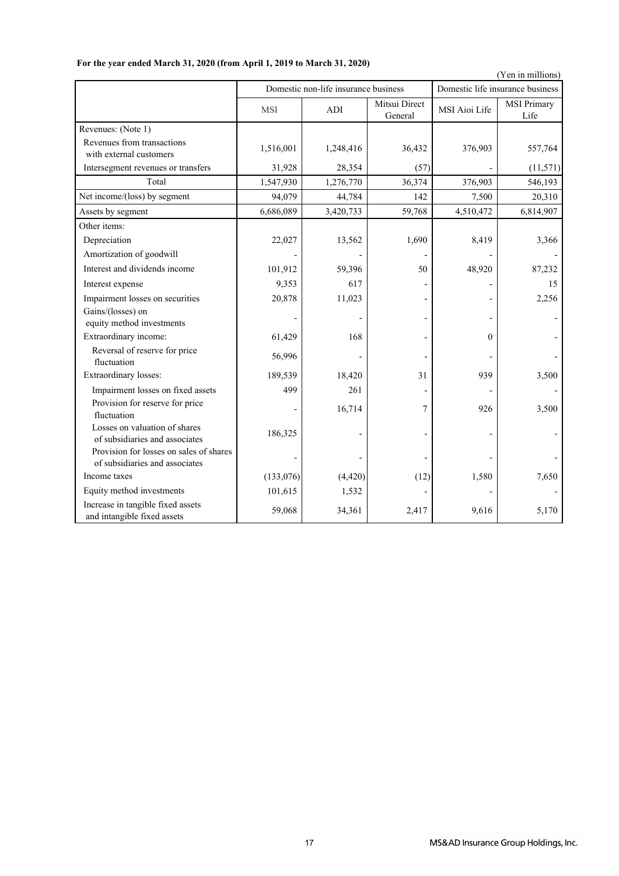|                                                                           |            |                                      |                          |                                  | (Yen in millions)   |  |
|---------------------------------------------------------------------------|------------|--------------------------------------|--------------------------|----------------------------------|---------------------|--|
|                                                                           |            | Domestic non-life insurance business |                          | Domestic life insurance business |                     |  |
|                                                                           | <b>MSI</b> | <b>ADI</b>                           | Mitsui Direct<br>General | MSI Aioi Life                    | MSI Primary<br>Life |  |
| Revenues: (Note 1)<br>Revenues from transactions                          | 1,516,001  | 1,248,416                            | 36,432                   | 376,903                          | 557,764             |  |
| with external customers<br>Intersegment revenues or transfers             | 31,928     | 28,354                               | (57)                     |                                  | (11, 571)           |  |
| Total                                                                     | 1,547,930  | 1,276,770                            | 36,374                   | 376,903                          | 546,193             |  |
| Net income/(loss) by segment                                              | 94,079     | 44,784                               | 142                      | 7,500                            | 20,310              |  |
|                                                                           | 6,686,089  |                                      | 59,768                   | 4,510,472                        | 6,814,907           |  |
| Assets by segment<br>Other items:                                         |            | 3,420,733                            |                          |                                  |                     |  |
|                                                                           |            |                                      |                          |                                  |                     |  |
| Depreciation                                                              | 22,027     | 13,562                               | 1,690                    | 8,419                            | 3,366               |  |
| Amortization of goodwill                                                  |            |                                      |                          |                                  |                     |  |
| Interest and dividends income                                             | 101,912    | 59,396                               | 50                       | 48,920                           | 87,232              |  |
| Interest expense                                                          | 9,353      | 617                                  |                          |                                  | 15                  |  |
| Impairment losses on securities                                           | 20,878     | 11,023                               |                          |                                  | 2,256               |  |
| Gains/(losses) on<br>equity method investments                            |            |                                      |                          |                                  |                     |  |
| Extraordinary income:                                                     | 61,429     | 168                                  |                          | $\theta$                         |                     |  |
| Reversal of reserve for price<br>fluctuation                              | 56,996     |                                      |                          |                                  |                     |  |
| Extraordinary losses:                                                     | 189,539    | 18,420                               | 31                       | 939                              | 3,500               |  |
| Impairment losses on fixed assets                                         | 499        | 261                                  |                          |                                  |                     |  |
| Provision for reserve for price<br>fluctuation                            |            | 16,714                               | 7                        | 926                              | 3,500               |  |
| Losses on valuation of shares<br>of subsidiaries and associates           | 186,325    |                                      |                          |                                  |                     |  |
| Provision for losses on sales of shares<br>of subsidiaries and associates |            |                                      |                          |                                  |                     |  |
| Income taxes                                                              | (133,076)  | (4, 420)                             | (12)                     | 1,580                            | 7,650               |  |
| Equity method investments                                                 | 101,615    | 1,532                                |                          |                                  |                     |  |
| Increase in tangible fixed assets<br>and intangible fixed assets          | 59,068     | 34,361                               | 2,417                    | 9,616                            | 5,170               |  |

## **For the year ended March 31, 2020 (from April 1, 2019 to March 31, 2020)**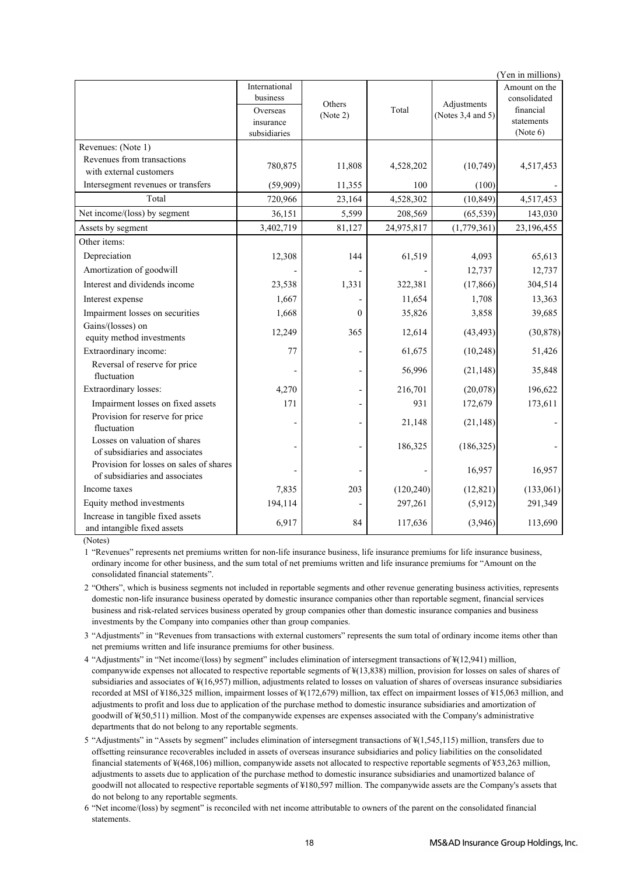|                                                                  |               |          |            |                                      | (Yen in millions)      |
|------------------------------------------------------------------|---------------|----------|------------|--------------------------------------|------------------------|
|                                                                  | International |          |            |                                      | Amount on the          |
|                                                                  | business      | Others   |            | Adjustments<br>(Notes $3,4$ and $5)$ | consolidated           |
|                                                                  | Overseas      | (Note 2) | Total      |                                      | financial              |
|                                                                  | insurance     |          |            |                                      | statements<br>(Note 6) |
|                                                                  | subsidiaries  |          |            |                                      |                        |
| Revenues: (Note 1)                                               |               |          |            |                                      |                        |
| Revenues from transactions                                       | 780,875       | 11,808   | 4,528,202  | (10, 749)                            | 4,517,453              |
| with external customers                                          |               |          |            |                                      |                        |
| Intersegment revenues or transfers                               | (59,909)      | 11,355   | 100        | (100)                                |                        |
| Total                                                            | 720,966       | 23,164   | 4,528,302  | (10, 849)                            | 4,517,453              |
| Net income/(loss) by segment                                     | 36,151        | 5,599    | 208,569    | (65, 539)                            | 143,030                |
| Assets by segment                                                | 3,402,719     | 81,127   | 24,975,817 | (1,779,361)                          | 23,196,455             |
| Other items:                                                     |               |          |            |                                      |                        |
| Depreciation                                                     | 12,308        | 144      | 61,519     | 4,093                                | 65,613                 |
| Amortization of goodwill                                         |               |          |            | 12,737                               | 12,737                 |
| Interest and dividends income                                    | 23,538        | 1,331    | 322,381    | (17, 866)                            | 304,514                |
| Interest expense                                                 | 1,667         |          | 11,654     | 1,708                                | 13,363                 |
| Impairment losses on securities                                  | 1,668         | $\theta$ | 35,826     | 3,858                                | 39,685                 |
| Gains/(losses) on                                                | 12,249        | 365      | 12,614     | (43, 493)                            | (30, 878)              |
| equity method investments                                        |               |          |            |                                      |                        |
| Extraordinary income:                                            | 77            |          | 61,675     | (10, 248)                            | 51,426                 |
| Reversal of reserve for price                                    |               |          | 56,996     | (21, 148)                            | 35,848                 |
| fluctuation                                                      |               |          |            |                                      |                        |
| Extraordinary losses:                                            | 4,270         |          | 216,701    | (20,078)                             | 196,622                |
| Impairment losses on fixed assets                                | 171           |          | 931        | 172,679                              | 173,611                |
| Provision for reserve for price                                  |               |          | 21,148     | (21, 148)                            |                        |
| fluctuation                                                      |               |          |            |                                      |                        |
| Losses on valuation of shares<br>of subsidiaries and associates  |               |          | 186,325    | (186, 325)                           |                        |
| Provision for losses on sales of shares                          |               |          |            |                                      |                        |
| of subsidiaries and associates                                   |               |          |            | 16,957                               | 16,957                 |
| Income taxes                                                     | 7,835         | 203      | (120, 240) | (12, 821)                            | (133,061)              |
| Equity method investments                                        | 194,114       |          | 297,261    | (5,912)                              | 291,349                |
| Increase in tangible fixed assets<br>and intangible fixed assets | 6,917         | 84       | 117,636    | (3,946)                              | 113,690                |

(Notes)

1 "Revenues" represents net premiums written for non-life insurance business, life insurance premiums for life insurance business, ordinary income for other business, and the sum total of net premiums written and life insurance premiums for "Amount on the consolidated financial statements".

2 "Others", which is business segments not included in reportable segments and other revenue generating business activities, represents domestic non-life insurance business operated by domestic insurance companies other than reportable segment, financial services business and risk-related services business operated by group companies other than domestic insurance companies and business investments by the Company into companies other than group companies.

3 "Adjustments" in "Revenues from transactions with external customers" represents the sum total of ordinary income items other than net premiums written and life insurance premiums for other business.

4 "Adjustments" in "Net income/(loss) by segment" includes elimination of intersegment transactions of ¥(12,941) million, companywide expenses not allocated to respective reportable segments of ¥(13,838) million, provision for losses on sales of shares of subsidiaries and associates of ¥(16,957) million, adjustments related to losses on valuation of shares of overseas insurance subsidiaries recorded at MSI of ¥186,325 million, impairment losses of ¥(172,679) million, tax effect on impairment losses of ¥15,063 million, and adjustments to profit and loss due to application of the purchase method to domestic insurance subsidiaries and amortization of goodwill of ¥(50,511) million. Most of the companywide expenses are expenses associated with the Company's administrative departments that do not belong to any reportable segments.

5 "Adjustments" in "Assets by segment" includes elimination of intersegment transactions of ¥(1,545,115) million, transfers due to offsetting reinsurance recoverables included in assets of overseas insurance subsidiaries and policy liabilities on the consolidated financial statements of ¥(468,106) million, companywide assets not allocated to respective reportable segments of ¥53,263 million, adjustments to assets due to application of the purchase method to domestic insurance subsidiaries and unamortized balance of goodwill not allocated to respective reportable segments of ¥180,597 million. The companywide assets are the Company's assets that do not belong to any reportable segments.

6 "Net income/(loss) by segment" is reconciled with net income attributable to owners of the parent on the consolidated financial statements.